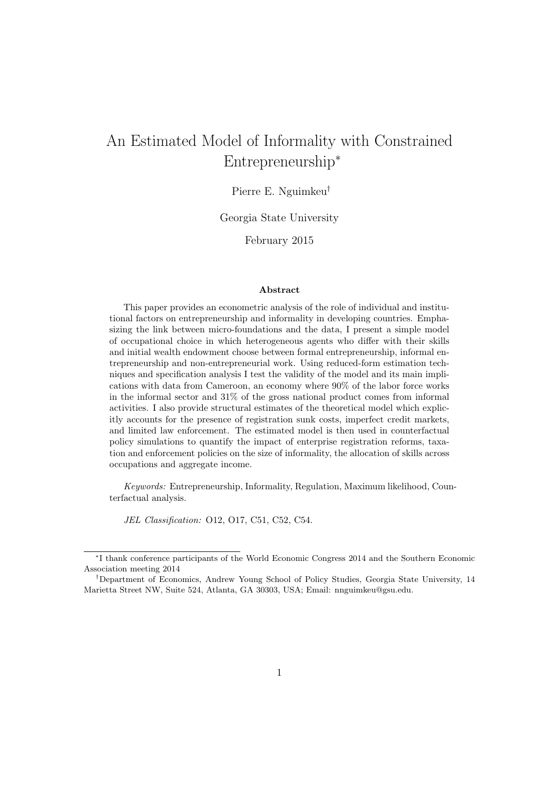# An Estimated Model of Informality with Constrained Entrepreneurship<sup>∗</sup>

# Pierre E. Nguimkeu†

Georgia State University

February 2015

#### Abstract

This paper provides an econometric analysis of the role of individual and institutional factors on entrepreneurship and informality in developing countries. Emphasizing the link between micro-foundations and the data, I present a simple model of occupational choice in which heterogeneous agents who differ with their skills and initial wealth endowment choose between formal entrepreneurship, informal entrepreneurship and non-entrepreneurial work. Using reduced-form estimation techniques and specification analysis I test the validity of the model and its main implications with data from Cameroon, an economy where 90% of the labor force works in the informal sector and 31% of the gross national product comes from informal activities. I also provide structural estimates of the theoretical model which explicitly accounts for the presence of registration sunk costs, imperfect credit markets, and limited law enforcement. The estimated model is then used in counterfactual policy simulations to quantify the impact of enterprise registration reforms, taxation and enforcement policies on the size of informality, the allocation of skills across occupations and aggregate income.

Keywords: Entrepreneurship, Informality, Regulation, Maximum likelihood, Counterfactual analysis.

JEL Classification: O12, O17, C51, C52, C54.

<sup>∗</sup> I thank conference participants of the World Economic Congress 2014 and the Southern Economic Association meeting 2014

<sup>†</sup>Department of Economics, Andrew Young School of Policy Studies, Georgia State University, 14 Marietta Street NW, Suite 524, Atlanta, GA 30303, USA; Email: nnguimkeu@gsu.edu.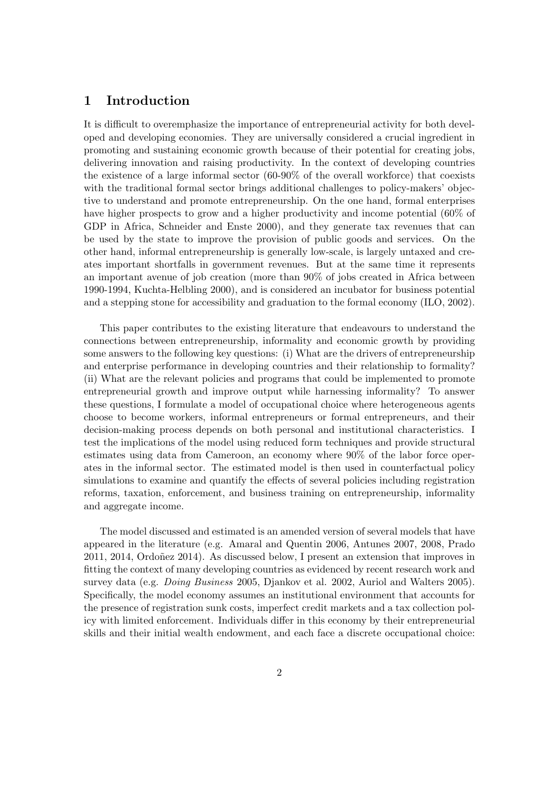# 1 Introduction

It is difficult to overemphasize the importance of entrepreneurial activity for both developed and developing economies. They are universally considered a crucial ingredient in promoting and sustaining economic growth because of their potential for creating jobs, delivering innovation and raising productivity. In the context of developing countries the existence of a large informal sector (60-90% of the overall workforce) that coexists with the traditional formal sector brings additional challenges to policy-makers' objective to understand and promote entrepreneurship. On the one hand, formal enterprises have higher prospects to grow and a higher productivity and income potential  $(60\%$  of GDP in Africa, Schneider and Enste 2000), and they generate tax revenues that can be used by the state to improve the provision of public goods and services. On the other hand, informal entrepreneurship is generally low-scale, is largely untaxed and creates important shortfalls in government revenues. But at the same time it represents an important avenue of job creation (more than 90% of jobs created in Africa between 1990-1994, Kuchta-Helbling 2000), and is considered an incubator for business potential and a stepping stone for accessibility and graduation to the formal economy (ILO, 2002).

This paper contributes to the existing literature that endeavours to understand the connections between entrepreneurship, informality and economic growth by providing some answers to the following key questions: (i) What are the drivers of entrepreneurship and enterprise performance in developing countries and their relationship to formality? (ii) What are the relevant policies and programs that could be implemented to promote entrepreneurial growth and improve output while harnessing informality? To answer these questions, I formulate a model of occupational choice where heterogeneous agents choose to become workers, informal entrepreneurs or formal entrepreneurs, and their decision-making process depends on both personal and institutional characteristics. I test the implications of the model using reduced form techniques and provide structural estimates using data from Cameroon, an economy where 90% of the labor force operates in the informal sector. The estimated model is then used in counterfactual policy simulations to examine and quantify the effects of several policies including registration reforms, taxation, enforcement, and business training on entrepreneurship, informality and aggregate income.

The model discussed and estimated is an amended version of several models that have appeared in the literature (e.g. Amaral and Quentin 2006, Antunes 2007, 2008, Prado 2011, 2014, Ordoñez 2014). As discussed below, I present an extension that improves in fitting the context of many developing countries as evidenced by recent research work and survey data (e.g. *Doing Business* 2005, Djankov et al. 2002, Auriol and Walters 2005). Specifically, the model economy assumes an institutional environment that accounts for the presence of registration sunk costs, imperfect credit markets and a tax collection policy with limited enforcement. Individuals differ in this economy by their entrepreneurial skills and their initial wealth endowment, and each face a discrete occupational choice: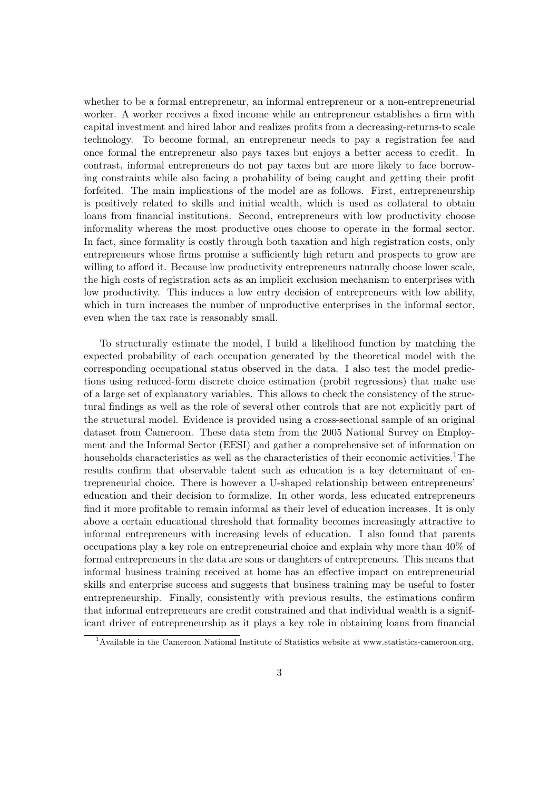whether to be a formal entrepreneur, an informal entrepreneur or a non-entrepreneurial worker. A worker receives a fixed income while an entrepreneur establishes a firm with capital investment and hired labor and realizes profits from a decreasing-returns-to scale technology. To become formal, an entrepreneur needs to pay a registration fee and once formal the entrepreneur also pays taxes but enjoys a better access to credit. In contrast, informal entrepreneurs do not pay taxes but are more likely to face borrowing constraints while also facing a probability of being caught and getting their profit forfeited. The main implications of the model are as follows. First, entrepreneurship is positively related to skills and initial wealth, which is used as collateral to obtain loans from financial institutions. Second, entrepreneurs with low productivity choose informality whereas the most productive ones choose to operate in the formal sector. In fact, since formality is costly through both taxation and high registration costs, only entrepreneurs whose firms promise a sufficiently high return and prospects to grow are willing to afford it. Because low productivity entrepreneurs naturally choose lower scale, the high costs of registration acts as an implicit exclusion mechanism to enterprises with low productivity. This induces a low entry decision of entrepreneurs with low ability, which in turn increases the number of unproductive enterprises in the informal sector, even when the tax rate is reasonably small.

To structurally estimate the model, I build a likelihood function by matching the expected probability of each occupation generated by the theoretical model with the corresponding occupational status observed in the data. I also test the model predictions using reduced-form discrete choice estimation (probit regressions) that make use of a large set of explanatory variables. This allows to check the consistency of the structural findings as well as the role of several other controls that are not explicitly part of the structural model. Evidence is provided using a cross-sectional sample of an original dataset from Cameroon. These data stem from the 2005 National Survey on Employment and the Informal Sector (EESI) and gather a comprehensive set of information on households characteristics as well as the characteristics of their economic activities.<sup>1</sup>The results confirm that observable talent such as education is a key determinant of entrepreneurial choice. There is however a U-shaped relationship between entrepreneurs' education and their decision to formalize. In other words, less educated entrepreneurs find it more profitable to remain informal as their level of education increases. It is only above a certain educational threshold that formality becomes increasingly attractive to informal entrepreneurs with increasing levels of education. I also found that parents occupations play a key role on entrepreneurial choice and explain why more than 40% of formal entrepreneurs in the data are sons or daughters of entrepreneurs. This means that informal business training received at home has an effective impact on entrepreneurial skills and enterprise success and suggests that business training may be useful to foster entrepreneurship. Finally, consistently with previous results, the estimations confirm that informal entrepreneurs are credit constrained and that individual wealth is a significant driver of entrepreneurship as it plays a key role in obtaining loans from financial

<sup>&</sup>lt;sup>1</sup> Available in the Cameroon National Institute of Statistics website at www.statistics-cameroon.org.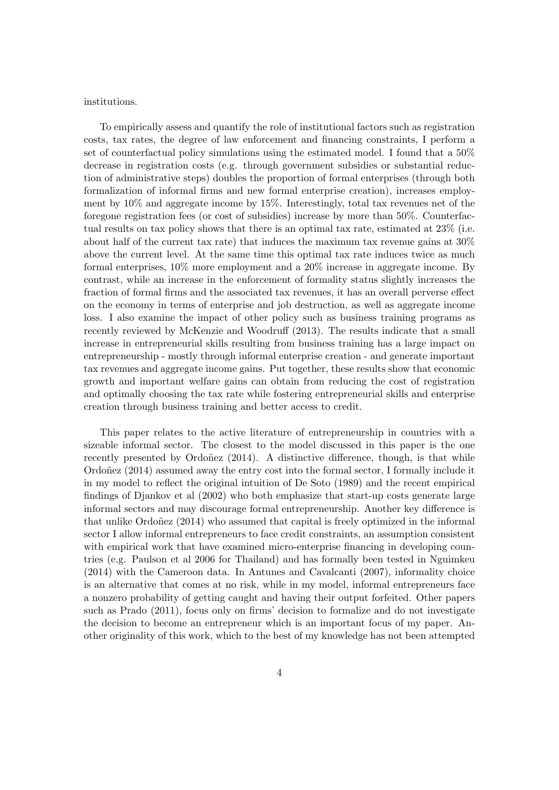institutions.

To empirically assess and quantify the role of institutional factors such as registration costs, tax rates, the degree of law enforcement and financing constraints, I perform a set of counterfactual policy simulations using the estimated model. I found that a 50% decrease in registration costs (e.g. through government subsidies or substantial reduction of administrative steps) doubles the proportion of formal enterprises (through both formalization of informal firms and new formal enterprise creation), increases employment by 10% and aggregate income by 15%. Interestingly, total tax revenues net of the foregone registration fees (or cost of subsidies) increase by more than 50%. Counterfactual results on tax policy shows that there is an optimal tax rate, estimated at 23% (i.e. about half of the current tax rate) that induces the maximum tax revenue gains at 30% above the current level. At the same time this optimal tax rate induces twice as much formal enterprises, 10% more employment and a 20% increase in aggregate income. By contrast, while an increase in the enforcement of formality status slightly increases the fraction of formal firms and the associated tax revenues, it has an overall perverse effect on the economy in terms of enterprise and job destruction, as well as aggregate income loss. I also examine the impact of other policy such as business training programs as recently reviewed by McKenzie and Woodruff (2013). The results indicate that a small increase in entrepreneurial skills resulting from business training has a large impact on entrepreneurship - mostly through informal enterprise creation - and generate important tax revenues and aggregate income gains. Put together, these results show that economic growth and important welfare gains can obtain from reducing the cost of registration and optimally choosing the tax rate while fostering entrepreneurial skills and enterprise creation through business training and better access to credit.

This paper relates to the active literature of entrepreneurship in countries with a sizeable informal sector. The closest to the model discussed in this paper is the one recently presented by Ordoñez  $(2014)$ . A distinctive difference, though, is that while Ordoñez  $(2014)$  assumed away the entry cost into the formal sector, I formally include it in my model to reflect the original intuition of De Soto (1989) and the recent empirical findings of Djankov et al (2002) who both emphasize that start-up costs generate large informal sectors and may discourage formal entrepreneurship. Another key difference is that unlike Ordoñez  $(2014)$  who assumed that capital is freely optimized in the informal sector I allow informal entrepreneurs to face credit constraints, an assumption consistent with empirical work that have examined micro-enterprise financing in developing countries (e.g. Paulson et al 2006 for Thailand) and has formally been tested in Nguimkeu (2014) with the Cameroon data. In Antunes and Cavalcanti (2007), informality choice is an alternative that comes at no risk, while in my model, informal entrepreneurs face a nonzero probability of getting caught and having their output forfeited. Other papers such as Prado (2011), focus only on firms' decision to formalize and do not investigate the decision to become an entrepreneur which is an important focus of my paper. Another originality of this work, which to the best of my knowledge has not been attempted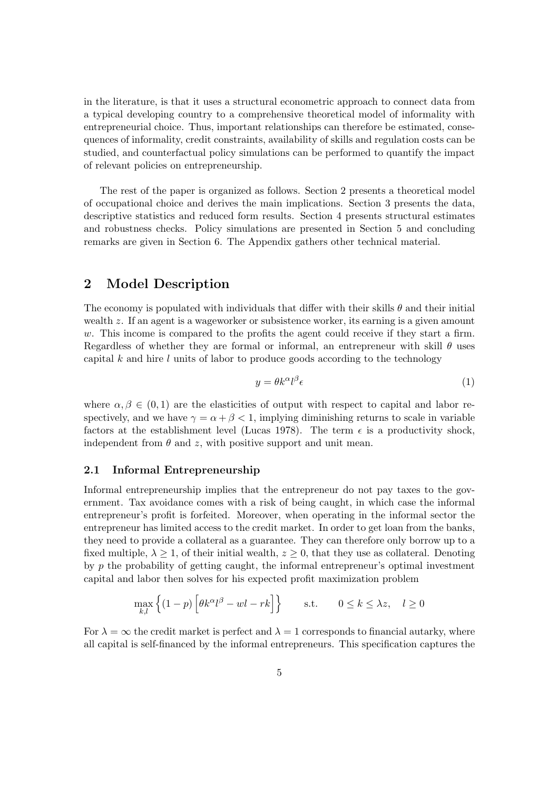in the literature, is that it uses a structural econometric approach to connect data from a typical developing country to a comprehensive theoretical model of informality with entrepreneurial choice. Thus, important relationships can therefore be estimated, consequences of informality, credit constraints, availability of skills and regulation costs can be studied, and counterfactual policy simulations can be performed to quantify the impact of relevant policies on entrepreneurship.

The rest of the paper is organized as follows. Section 2 presents a theoretical model of occupational choice and derives the main implications. Section 3 presents the data, descriptive statistics and reduced form results. Section 4 presents structural estimates and robustness checks. Policy simulations are presented in Section 5 and concluding remarks are given in Section 6. The Appendix gathers other technical material.

# 2 Model Description

The economy is populated with individuals that differ with their skills  $\theta$  and their initial wealth z. If an agent is a wageworker or subsistence worker, its earning is a given amount w. This income is compared to the profits the agent could receive if they start a firm. Regardless of whether they are formal or informal, an entrepreneur with skill  $\theta$  uses capital  $k$  and hire  $l$  units of labor to produce goods according to the technology

$$
y = \theta k^{\alpha} l^{\beta} \epsilon \tag{1}
$$

where  $\alpha, \beta \in (0, 1)$  are the elasticities of output with respect to capital and labor respectively, and we have  $\gamma = \alpha + \beta < 1$ , implying diminishing returns to scale in variable factors at the establishment level (Lucas 1978). The term  $\epsilon$  is a productivity shock, independent from  $\theta$  and z, with positive support and unit mean.

# 2.1 Informal Entrepreneurship

Informal entrepreneurship implies that the entrepreneur do not pay taxes to the government. Tax avoidance comes with a risk of being caught, in which case the informal entrepreneur's profit is forfeited. Moreover, when operating in the informal sector the entrepreneur has limited access to the credit market. In order to get loan from the banks, they need to provide a collateral as a guarantee. They can therefore only borrow up to a fixed multiple,  $\lambda \geq 1$ , of their initial wealth,  $z \geq 0$ , that they use as collateral. Denoting by p the probability of getting caught, the informal entrepreneur's optimal investment capital and labor then solves for his expected profit maximization problem

$$
\max_{k,l} \left\{ (1-p) \left[ \theta k^{\alpha} l^{\beta} - w l - r k \right] \right\} \quad \text{s.t.} \quad 0 \le k \le \lambda z, \quad l \ge 0
$$

For  $\lambda = \infty$  the credit market is perfect and  $\lambda = 1$  corresponds to financial autarky, where all capital is self-financed by the informal entrepreneurs. This specification captures the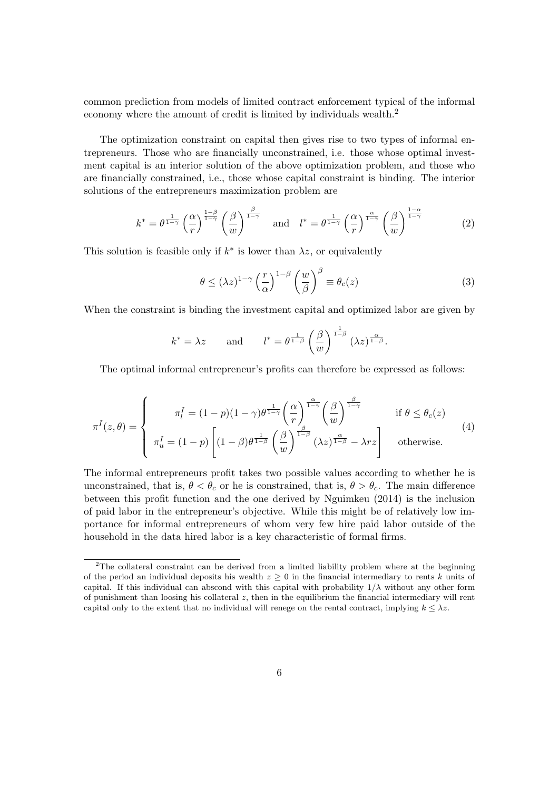common prediction from models of limited contract enforcement typical of the informal economy where the amount of credit is limited by individuals wealth.<sup>2</sup>

The optimization constraint on capital then gives rise to two types of informal entrepreneurs. Those who are financially unconstrained, i.e. those whose optimal investment capital is an interior solution of the above optimization problem, and those who are financially constrained, i.e., those whose capital constraint is binding. The interior solutions of the entrepreneurs maximization problem are

$$
k^* = \theta^{\frac{1}{1-\gamma}} \left(\frac{\alpha}{r}\right)^{\frac{1-\beta}{1-\gamma}} \left(\frac{\beta}{w}\right)^{\frac{\beta}{1-\gamma}} \quad \text{and} \quad l^* = \theta^{\frac{1}{1-\gamma}} \left(\frac{\alpha}{r}\right)^{\frac{\alpha}{1-\gamma}} \left(\frac{\beta}{w}\right)^{\frac{1-\alpha}{1-\gamma}}
$$
(2)

This solution is feasible only if  $k^*$  is lower than  $\lambda z$ , or equivalently

$$
\theta \le (\lambda z)^{1-\gamma} \left(\frac{r}{\alpha}\right)^{1-\beta} \left(\frac{w}{\beta}\right)^{\beta} \equiv \theta_c(z)
$$
\n(3)

When the constraint is binding the investment capital and optimized labor are given by

$$
k^* = \lambda z
$$
 and  $l^* = \theta^{\frac{1}{1-\beta}} \left(\frac{\beta}{w}\right)^{\frac{1}{1-\beta}} (\lambda z)^{\frac{\alpha}{1-\beta}}.$ 

The optimal informal entrepreneur's profits can therefore be expressed as follows:

$$
\pi^{I}(z,\theta) = \begin{cases}\n\pi_{l}^{I} = (1-p)(1-\gamma)\theta^{\frac{1}{1-\gamma}} \left(\frac{\alpha}{r}\right)^{\frac{\alpha}{1-\gamma}} \left(\frac{\beta}{w}\right)^{\frac{\beta}{1-\gamma}} & \text{if } \theta \leq \theta_{c}(z) \\
\pi_{u}^{I} = (1-p) \left[ (1-\beta)\theta^{\frac{1}{1-\beta}} \left(\frac{\beta}{w}\right)^{\frac{\beta}{1-\beta}} (\lambda z)^{\frac{\alpha}{1-\beta}} - \lambda rz \right] & \text{otherwise.} \n\end{cases}
$$
(4)

The informal entrepreneurs profit takes two possible values according to whether he is unconstrained, that is,  $\theta < \theta_c$  or he is constrained, that is,  $\theta > \theta_c$ . The main difference between this profit function and the one derived by Nguimkeu (2014) is the inclusion of paid labor in the entrepreneur's objective. While this might be of relatively low importance for informal entrepreneurs of whom very few hire paid labor outside of the household in the data hired labor is a key characteristic of formal firms.

<sup>&</sup>lt;sup>2</sup>The collateral constraint can be derived from a limited liability problem where at the beginning of the period an individual deposits his wealth  $z \geq 0$  in the financial intermediary to rents k units of capital. If this individual can abscond with this capital with probability  $1/\lambda$  without any other form of punishment than loosing his collateral z, then in the equilibrium the financial intermediary will rent capital only to the extent that no individual will renege on the rental contract, implying  $k \leq \lambda z$ .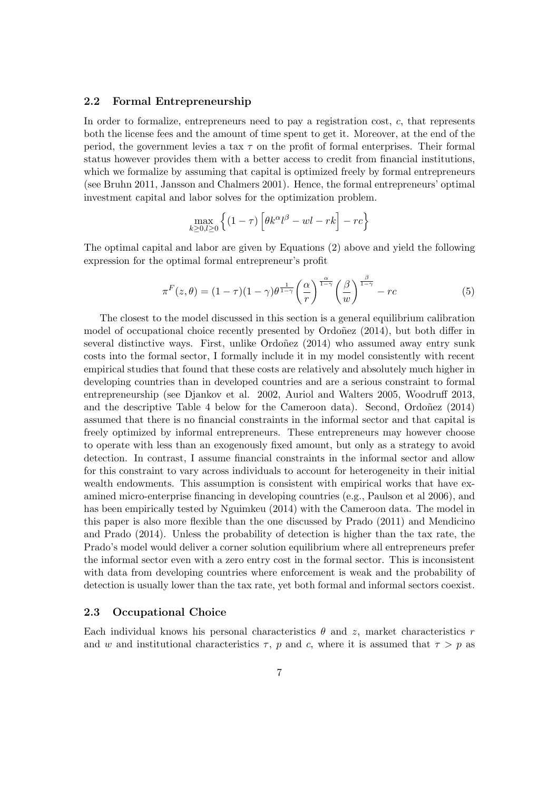## 2.2 Formal Entrepreneurship

In order to formalize, entrepreneurs need to pay a registration cost,  $c$ , that represents both the license fees and the amount of time spent to get it. Moreover, at the end of the period, the government levies a tax  $\tau$  on the profit of formal enterprises. Their formal status however provides them with a better access to credit from financial institutions, which we formalize by assuming that capital is optimized freely by formal entrepreneurs (see Bruhn 2011, Jansson and Chalmers 2001). Hence, the formal entrepreneurs' optimal investment capital and labor solves for the optimization problem.

$$
\max_{k \ge 0, l \ge 0} \left\{ (1 - \tau) \left[ \theta k^{\alpha} l^{\beta} - w l - r k \right] - r c \right\}
$$

The optimal capital and labor are given by Equations (2) above and yield the following expression for the optimal formal entrepreneur's profit

$$
\pi^{F}(z,\theta) = (1-\tau)(1-\gamma)\theta^{\frac{1}{1-\gamma}}\left(\frac{\alpha}{r}\right)^{\frac{\alpha}{1-\gamma}}\left(\frac{\beta}{w}\right)^{\frac{\beta}{1-\gamma}} - rc \tag{5}
$$

The closest to the model discussed in this section is a general equilibrium calibration model of occupational choice recently presented by  $Ordoñez$  (2014), but both differ in several distinctive ways. First, unlike  $Ordoñez$  (2014) who assumed away entry sunk costs into the formal sector, I formally include it in my model consistently with recent empirical studies that found that these costs are relatively and absolutely much higher in developing countries than in developed countries and are a serious constraint to formal entrepreneurship (see Djankov et al. 2002, Auriol and Walters 2005, Woodruff 2013, and the descriptive Table 4 below for the Cameroon data). Second, Ordoñez  $(2014)$ assumed that there is no financial constraints in the informal sector and that capital is freely optimized by informal entrepreneurs. These entrepreneurs may however choose to operate with less than an exogenously fixed amount, but only as a strategy to avoid detection. In contrast, I assume financial constraints in the informal sector and allow for this constraint to vary across individuals to account for heterogeneity in their initial wealth endowments. This assumption is consistent with empirical works that have examined micro-enterprise financing in developing countries (e.g., Paulson et al 2006), and has been empirically tested by Nguimkeu (2014) with the Cameroon data. The model in this paper is also more flexible than the one discussed by Prado (2011) and Mendicino and Prado (2014). Unless the probability of detection is higher than the tax rate, the Prado's model would deliver a corner solution equilibrium where all entrepreneurs prefer the informal sector even with a zero entry cost in the formal sector. This is inconsistent with data from developing countries where enforcement is weak and the probability of detection is usually lower than the tax rate, yet both formal and informal sectors coexist.

## 2.3 Occupational Choice

Each individual knows his personal characteristics  $\theta$  and z, market characteristics r and w and institutional characteristics  $\tau$ , p and c, where it is assumed that  $\tau > p$  as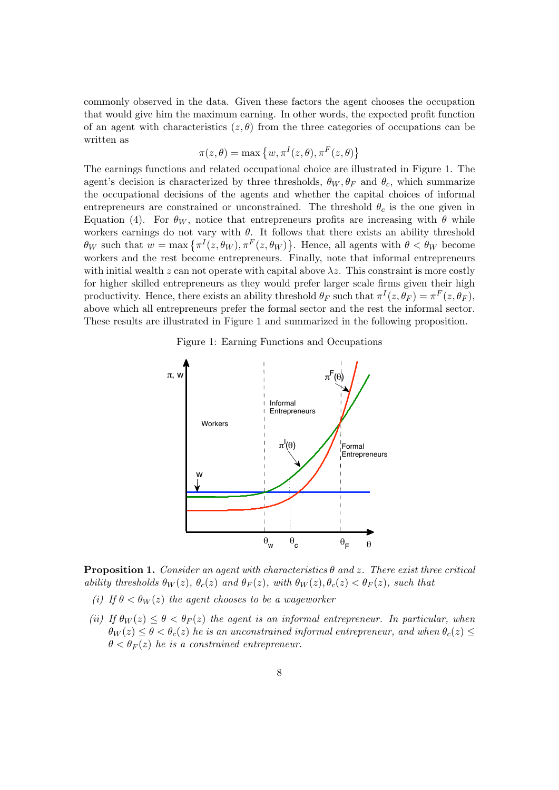commonly observed in the data. Given these factors the agent chooses the occupation that would give him the maximum earning. In other words, the expected profit function of an agent with characteristics  $(z, \theta)$  from the three categories of occupations can be written as

$$
\pi(z,\theta) = \max\left\{w, \pi^I(z,\theta), \pi^F(z,\theta)\right\}
$$

The earnings functions and related occupational choice are illustrated in Figure 1. The agent's decision is characterized by three thresholds,  $\theta_W, \theta_F$  and  $\theta_c$ , which summarize the occupational decisions of the agents and whether the capital choices of informal entrepreneurs are constrained or unconstrained. The threshold  $\theta_c$  is the one given in Equation (4). For  $\theta_W$ , notice that entrepreneurs profits are increasing with  $\theta$  while workers earnings do not vary with  $\theta$ . It follows that there exists an ability threshold  $\theta_W$  such that  $w = \max \{ \pi^I(z, \theta_W), \pi^F(z, \theta_W) \}.$  Hence, all agents with  $\theta < \theta_W$  become workers and the rest become entrepreneurs. Finally, note that informal entrepreneurs with initial wealth z can not operate with capital above  $\lambda z$ . This constraint is more costly for higher skilled entrepreneurs as they would prefer larger scale firms given their high productivity. Hence, there exists an ability threshold  $\theta_F$  such that  $\pi^I(z, \theta_F) = \pi^F(z, \theta_F)$ , above which all entrepreneurs prefer the formal sector and the rest the informal sector. These results are illustrated in Figure 1 and summarized in the following proposition.

Figure 1: Earning Functions and Occupations



**Proposition 1.** Consider an agent with characteristics  $\theta$  and z. There exist three critical ability thresholds  $\theta_W(z)$ ,  $\theta_c(z)$  and  $\theta_F(z)$ , with  $\theta_W(z)$ ,  $\theta_c(z) < \theta_F(z)$ , such that

- (i) If  $\theta < \theta_W(z)$  the agent chooses to be a wageworker
- (ii) If  $\theta_W(z) \leq \theta < \theta_F(z)$  the agent is an informal entrepreneur. In particular, when  $\theta_W(z) \leq \theta < \theta_c(z)$  he is an unconstrained informal entrepreneur, and when  $\theta_c(z) \leq$  $\theta < \theta_F(z)$  he is a constrained entrepreneur.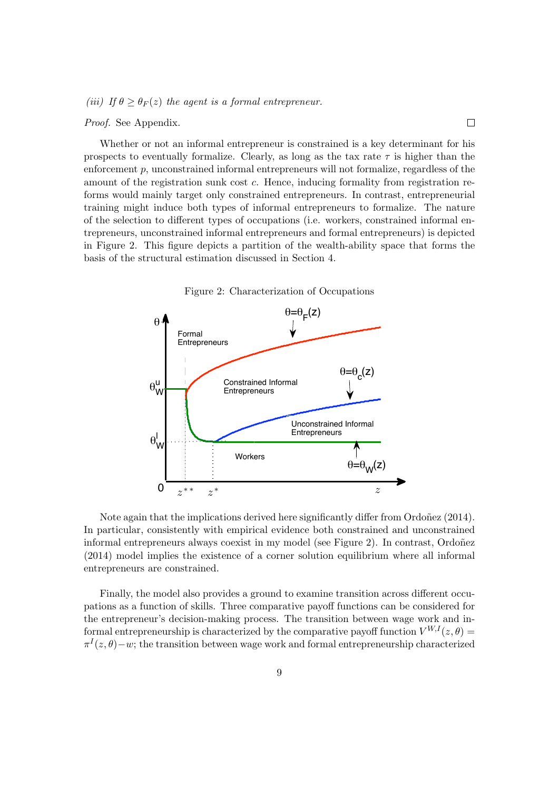(iii) If  $\theta > \theta_F(z)$  the agent is a formal entrepreneur.

## Proof. See Appendix.

Whether or not an informal entrepreneur is constrained is a key determinant for his prospects to eventually formalize. Clearly, as long as the tax rate  $\tau$  is higher than the enforcement  $p$ , unconstrained informal entrepreneurs will not formalize, regardless of the amount of the registration sunk cost c. Hence, inducing formality from registration reforms would mainly target only constrained entrepreneurs. In contrast, entrepreneurial training might induce both types of informal entrepreneurs to formalize. The nature of the selection to different types of occupations (i.e. workers, constrained informal entrepreneurs, unconstrained informal entrepreneurs and formal entrepreneurs) is depicted in Figure 2. This figure depicts a partition of the wealth-ability space that forms the basis of the structural estimation discussed in Section 4.

 $\Box$ 



Note again that the implications derived here significantly differ from Ordoñez (2014). In particular, consistently with empirical evidence both constrained and unconstrained informal entrepreneurs always coexist in my model (see Figure 2). In contrast, Ordoñez (2014) model implies the existence of a corner solution equilibrium where all informal entrepreneurs are constrained.

Finally, the model also provides a ground to examine transition across different occupations as a function of skills. Three comparative payoff functions can be considered for the entrepreneur's decision-making process. The transition between wage work and informal entrepreneurship is characterized by the comparative payoff function  $V^{W,I}(z,\theta)$  =  $\pi^{I}(z,\theta)-w$ ; the transition between wage work and formal entrepreneurship characterized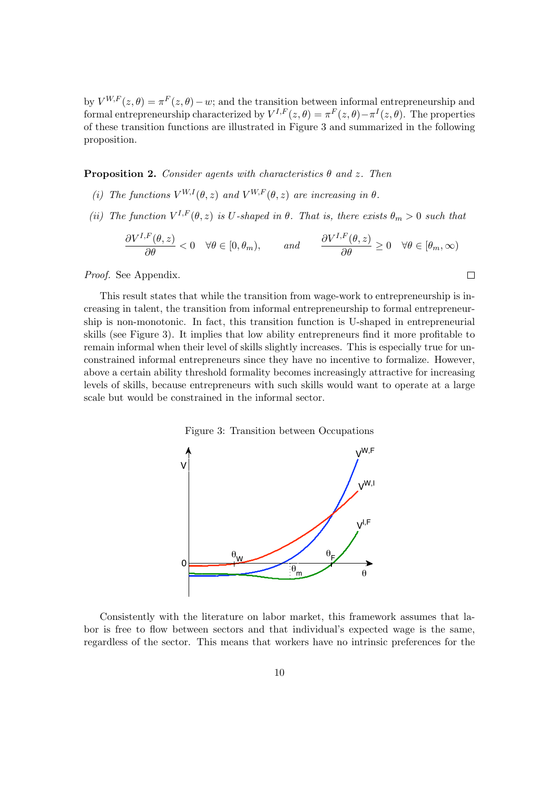by  $V^{W,F}(z,\theta) = \pi^F(z,\theta) - w$ ; and the transition between informal entrepreneurship and formal entrepreneurship characterized by  $V^{I,F}(z,\theta) = \pi^F(z,\theta) - \pi^I(z,\theta)$ . The properties of these transition functions are illustrated in Figure 3 and summarized in the following proposition.

**Proposition 2.** Consider agents with characteristics  $\theta$  and z. Then

- (i) The functions  $V^{W,I}(\theta, z)$  and  $V^{W,F}(\theta, z)$  are increasing in  $\theta$ .
- (ii) The function  $V^{I,F}(\theta, z)$  is U-shaped in  $\theta$ . That is, there exists  $\theta_m > 0$  such that

$$
\frac{\partial V^{I,F}(\theta,z)}{\partial \theta}<0 \quad \forall \theta \in [0,\theta_m), \quad \text{and} \quad \frac{\partial V^{I,F}(\theta,z)}{\partial \theta} \ge 0 \quad \forall \theta \in [\theta_m,\infty)
$$

 $\Box$ 

Proof. See Appendix.

This result states that while the transition from wage-work to entrepreneurship is increasing in talent, the transition from informal entrepreneurship to formal entrepreneurship is non-monotonic. In fact, this transition function is U-shaped in entrepreneurial skills (see Figure 3). It implies that low ability entrepreneurs find it more profitable to remain informal when their level of skills slightly increases. This is especially true for unconstrained informal entrepreneurs since they have no incentive to formalize. However, above a certain ability threshold formality becomes increasingly attractive for increasing levels of skills, because entrepreneurs with such skills would want to operate at a large scale but would be constrained in the informal sector.

Figure 3: Transition between Occupations



Consistently with the literature on labor market, this framework assumes that labor is free to flow between sectors and that individual's expected wage is the same, regardless of the sector. This means that workers have no intrinsic preferences for the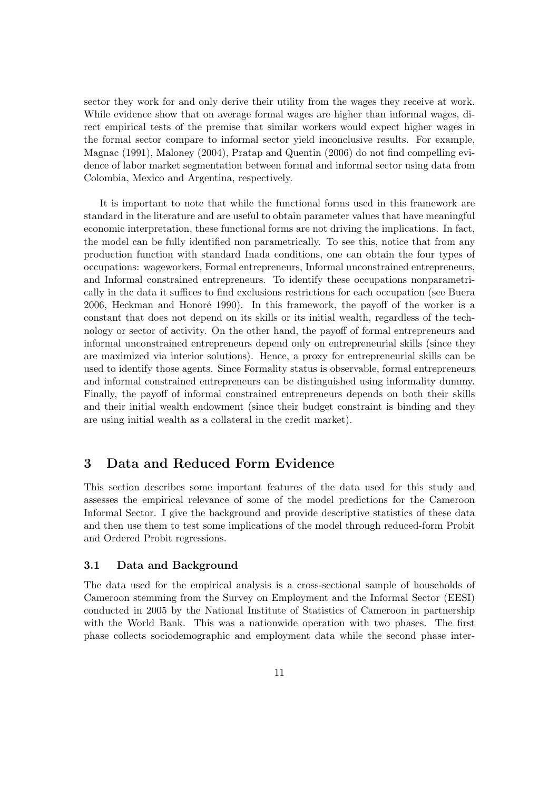sector they work for and only derive their utility from the wages they receive at work. While evidence show that on average formal wages are higher than informal wages, direct empirical tests of the premise that similar workers would expect higher wages in the formal sector compare to informal sector yield inconclusive results. For example, Magnac (1991), Maloney (2004), Pratap and Quentin (2006) do not find compelling evidence of labor market segmentation between formal and informal sector using data from Colombia, Mexico and Argentina, respectively.

It is important to note that while the functional forms used in this framework are standard in the literature and are useful to obtain parameter values that have meaningful economic interpretation, these functional forms are not driving the implications. In fact, the model can be fully identified non parametrically. To see this, notice that from any production function with standard Inada conditions, one can obtain the four types of occupations: wageworkers, Formal entrepreneurs, Informal unconstrained entrepreneurs, and Informal constrained entrepreneurs. To identify these occupations nonparametrically in the data it suffices to find exclusions restrictions for each occupation (see Buera 2006, Heckman and Honoré 1990). In this framework, the payoff of the worker is a constant that does not depend on its skills or its initial wealth, regardless of the technology or sector of activity. On the other hand, the payoff of formal entrepreneurs and informal unconstrained entrepreneurs depend only on entrepreneurial skills (since they are maximized via interior solutions). Hence, a proxy for entrepreneurial skills can be used to identify those agents. Since Formality status is observable, formal entrepreneurs and informal constrained entrepreneurs can be distinguished using informality dummy. Finally, the payoff of informal constrained entrepreneurs depends on both their skills and their initial wealth endowment (since their budget constraint is binding and they are using initial wealth as a collateral in the credit market).

# 3 Data and Reduced Form Evidence

This section describes some important features of the data used for this study and assesses the empirical relevance of some of the model predictions for the Cameroon Informal Sector. I give the background and provide descriptive statistics of these data and then use them to test some implications of the model through reduced-form Probit and Ordered Probit regressions.

## 3.1 Data and Background

The data used for the empirical analysis is a cross-sectional sample of households of Cameroon stemming from the Survey on Employment and the Informal Sector (EESI) conducted in 2005 by the National Institute of Statistics of Cameroon in partnership with the World Bank. This was a nationwide operation with two phases. The first phase collects sociodemographic and employment data while the second phase inter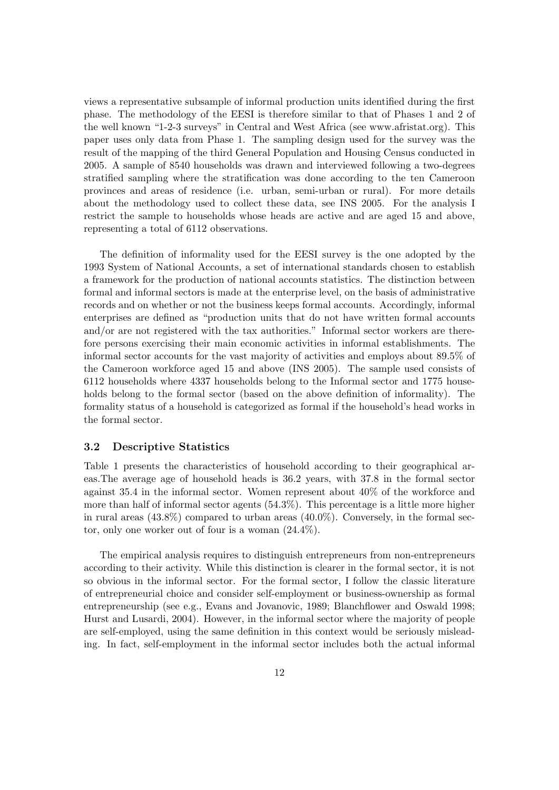views a representative subsample of informal production units identified during the first phase. The methodology of the EESI is therefore similar to that of Phases 1 and 2 of the well known "1-2-3 surveys" in Central and West Africa (see www.afristat.org). This paper uses only data from Phase 1. The sampling design used for the survey was the result of the mapping of the third General Population and Housing Census conducted in 2005. A sample of 8540 households was drawn and interviewed following a two-degrees stratified sampling where the stratification was done according to the ten Cameroon provinces and areas of residence (i.e. urban, semi-urban or rural). For more details about the methodology used to collect these data, see INS 2005. For the analysis I restrict the sample to households whose heads are active and are aged 15 and above, representing a total of 6112 observations.

The definition of informality used for the EESI survey is the one adopted by the 1993 System of National Accounts, a set of international standards chosen to establish a framework for the production of national accounts statistics. The distinction between formal and informal sectors is made at the enterprise level, on the basis of administrative records and on whether or not the business keeps formal accounts. Accordingly, informal enterprises are defined as "production units that do not have written formal accounts and/or are not registered with the tax authorities." Informal sector workers are therefore persons exercising their main economic activities in informal establishments. The informal sector accounts for the vast majority of activities and employs about 89.5% of the Cameroon workforce aged 15 and above (INS 2005). The sample used consists of 6112 households where 4337 households belong to the Informal sector and 1775 households belong to the formal sector (based on the above definition of informality). The formality status of a household is categorized as formal if the household's head works in the formal sector.

# 3.2 Descriptive Statistics

Table 1 presents the characteristics of household according to their geographical areas.The average age of household heads is 36.2 years, with 37.8 in the formal sector against 35.4 in the informal sector. Women represent about 40% of the workforce and more than half of informal sector agents (54.3%). This percentage is a little more higher in rural areas (43.8%) compared to urban areas (40.0%). Conversely, in the formal sector, only one worker out of four is a woman (24.4%).

The empirical analysis requires to distinguish entrepreneurs from non-entrepreneurs according to their activity. While this distinction is clearer in the formal sector, it is not so obvious in the informal sector. For the formal sector, I follow the classic literature of entrepreneurial choice and consider self-employment or business-ownership as formal entrepreneurship (see e.g., Evans and Jovanovic, 1989; Blanchflower and Oswald 1998; Hurst and Lusardi, 2004). However, in the informal sector where the majority of people are self-employed, using the same definition in this context would be seriously misleading. In fact, self-employment in the informal sector includes both the actual informal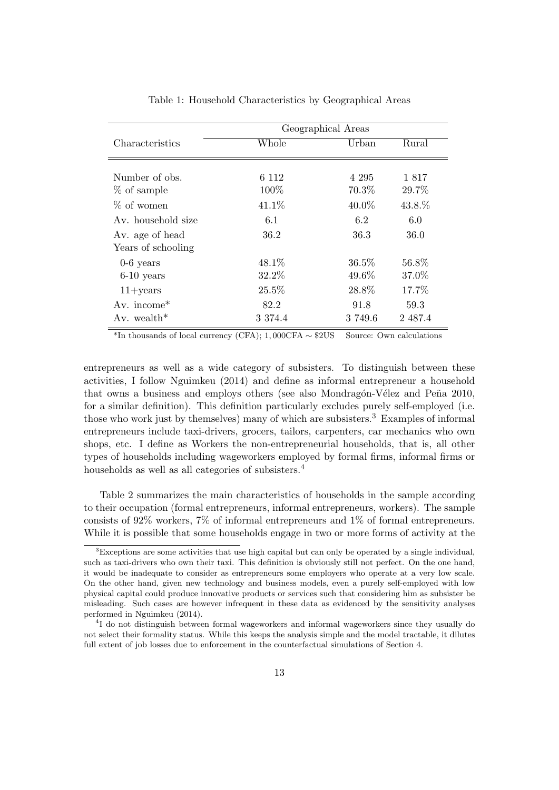|                         | Geographical Areas |         |         |  |
|-------------------------|--------------------|---------|---------|--|
| Characteristics         | Whole              | Urban   | Rural   |  |
|                         |                    |         |         |  |
| Number of obs.          | 6 1 1 2            | 4 295   | 1817    |  |
| % of sample             | 100\%              | 70.3%   | 29.7%   |  |
| $\%$ of women           | 41.1\%             | 40.0%   | 43.8.%  |  |
| Av. household size      | 6.1                | 6.2     | 6.0     |  |
| Av. age of head         | 36.2               | 36.3    | 36.0    |  |
| Years of schooling      |                    |         |         |  |
| $0-6$ years             | 48.1\%             | 36.5%   | 56.8%   |  |
| $6-10$ years            | 32.2%              | 49.6%   | 37.0%   |  |
| $11 + \text{years}$     | 25.5%              | 28.8%   | 17.7%   |  |
| Av. income $*$          | 82.2               | 91.8    | 59.3    |  |
| Av. wealth <sup>*</sup> | 3 3 7 4 . 4        | 3 749.6 | 2 487.4 |  |

Table 1: Household Characteristics by Geographical Areas

<sup>\*In</sup> thousands of local currency (CFA); 1,000CFA  $\sim$  \$2US Source: Own calculations

entrepreneurs as well as a wide category of subsisters. To distinguish between these activities, I follow Nguimkeu (2014) and define as informal entrepreneur a household that owns a business and employs others (see also Mondragón-Vélez and Peña 2010, for a similar definition). This definition particularly excludes purely self-employed (i.e. those who work just by themselves) many of which are subsisters.<sup>3</sup> Examples of informal entrepreneurs include taxi-drivers, grocers, tailors, carpenters, car mechanics who own shops, etc. I define as Workers the non-entrepreneurial households, that is, all other types of households including wageworkers employed by formal firms, informal firms or households as well as all categories of subsisters.<sup>4</sup>

Table 2 summarizes the main characteristics of households in the sample according to their occupation (formal entrepreneurs, informal entrepreneurs, workers). The sample consists of 92% workers, 7% of informal entrepreneurs and 1% of formal entrepreneurs. While it is possible that some households engage in two or more forms of activity at the

<sup>&</sup>lt;sup>3</sup>Exceptions are some activities that use high capital but can only be operated by a single individual, such as taxi-drivers who own their taxi. This definition is obviously still not perfect. On the one hand, it would be inadequate to consider as entrepreneurs some employers who operate at a very low scale. On the other hand, given new technology and business models, even a purely self-employed with low physical capital could produce innovative products or services such that considering him as subsister be misleading. Such cases are however infrequent in these data as evidenced by the sensitivity analyses performed in Nguimkeu (2014).

<sup>&</sup>lt;sup>4</sup>I do not distinguish between formal wageworkers and informal wageworkers since they usually do not select their formality status. While this keeps the analysis simple and the model tractable, it dilutes full extent of job losses due to enforcement in the counterfactual simulations of Section 4.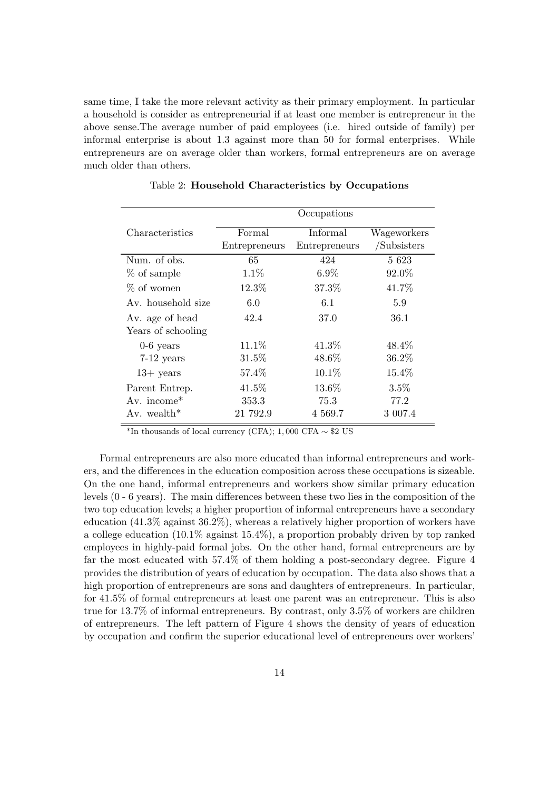same time, I take the more relevant activity as their primary employment. In particular a household is consider as entrepreneurial if at least one member is entrepreneur in the above sense.The average number of paid employees (i.e. hired outside of family) per informal enterprise is about 1.3 against more than 50 for formal enterprises. While entrepreneurs are on average older than workers, formal entrepreneurs are on average much older than others.

|                         | Occupations   |                 |             |  |
|-------------------------|---------------|-----------------|-------------|--|
| Characteristics         | Formal        | <b>Informal</b> | Wageworkers |  |
|                         | Entrepreneurs | Entrepreneurs   | /Subsisters |  |
| Num. of obs.            | 65            | 424             | 5 6 23      |  |
| % of sample             | $1.1\%$       | $6.9\%$         | 92.0%       |  |
| % of women              | 12.3%         | 37.3%           | 41.7%       |  |
| Av. household size      | 6.0           | 6.1             | 5.9         |  |
| Av. age of head         | 42.4          | 37.0            | 36.1        |  |
| Years of schooling      |               |                 |             |  |
| $0-6$ years             | 11.1\%        | 41.3%           | 48.4%       |  |
| $7-12$ years            | 31.5%         | 48.6%           | 36.2%       |  |
| $13+$ years             | 57.4%         | $10.1\%$        | 15.4%       |  |
| Parent Entrep.          | 41.5%         | 13.6%           | $3.5\%$     |  |
| Av. income $*$          | 353.3         | 75.3            | 77.2        |  |
| Av. wealth <sup>*</sup> | 21 792.9      | 4 569.7         | 3 007.4     |  |

Table 2: Household Characteristics by Occupations

\*In thousands of local currency (CFA); 1,000 CFA  $\sim$  \$2 US

Formal entrepreneurs are also more educated than informal entrepreneurs and workers, and the differences in the education composition across these occupations is sizeable. On the one hand, informal entrepreneurs and workers show similar primary education levels (0 - 6 years). The main differences between these two lies in the composition of the two top education levels; a higher proportion of informal entrepreneurs have a secondary education (41.3% against 36.2%), whereas a relatively higher proportion of workers have a college education (10.1% against 15.4%), a proportion probably driven by top ranked employees in highly-paid formal jobs. On the other hand, formal entrepreneurs are by far the most educated with 57.4% of them holding a post-secondary degree. Figure 4 provides the distribution of years of education by occupation. The data also shows that a high proportion of entrepreneurs are sons and daughters of entrepreneurs. In particular, for 41.5% of formal entrepreneurs at least one parent was an entrepreneur. This is also true for 13.7% of informal entrepreneurs. By contrast, only 3.5% of workers are children of entrepreneurs. The left pattern of Figure 4 shows the density of years of education by occupation and confirm the superior educational level of entrepreneurs over workers'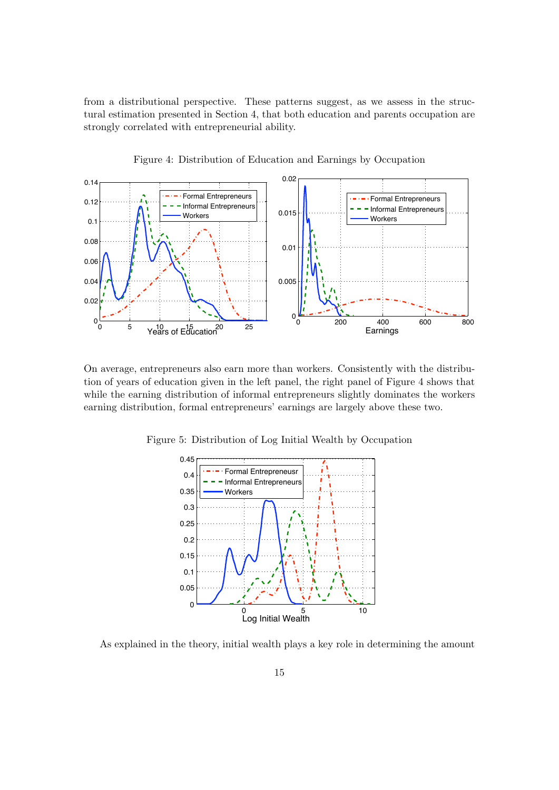from a distributional perspective. These patterns suggest, as we assess in the structural estimation presented in Section 4, that both education and parents occupation are strongly correlated with entrepreneurial ability.



Figure 4: Distribution of Education and Earnings by Occupation

On average, entrepreneurs also earn more than workers. Consistently with the distribution of years of education given in the left panel, the right panel of Figure 4 shows that while the earning distribution of informal entrepreneurs slightly dominates the workers earning distribution, formal entrepreneurs' earnings are largely above these two.

Figure 5: Distribution of Log Initial Wealth by Occupation



As explained in the theory, initial wealth plays a key role in determining the amount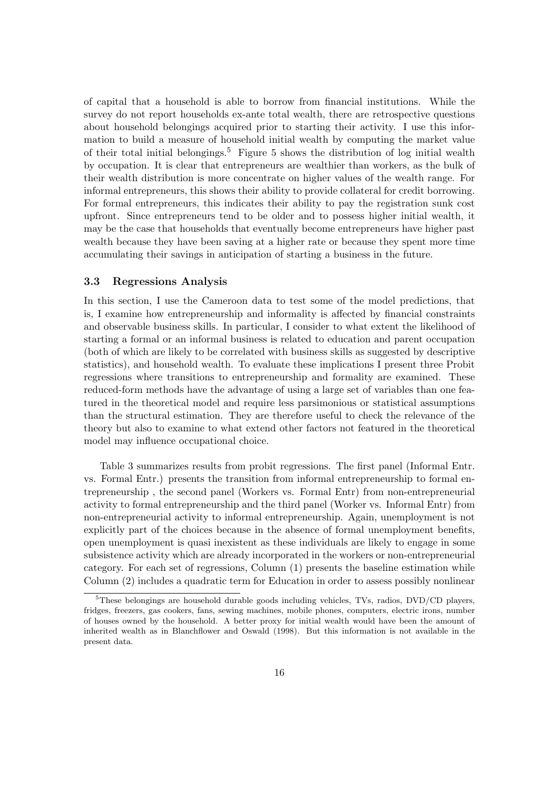of capital that a household is able to borrow from financial institutions. While the survey do not report households ex-ante total wealth, there are retrospective questions about household belongings acquired prior to starting their activity. I use this information to build a measure of household initial wealth by computing the market value of their total initial belongings.<sup>5</sup> Figure 5 shows the distribution of log initial wealth by occupation. It is clear that entrepreneurs are wealthier than workers, as the bulk of their wealth distribution is more concentrate on higher values of the wealth range. For informal entrepreneurs, this shows their ability to provide collateral for credit borrowing. For formal entrepreneurs, this indicates their ability to pay the registration sunk cost upfront. Since entrepreneurs tend to be older and to possess higher initial wealth, it may be the case that households that eventually become entrepreneurs have higher past wealth because they have been saving at a higher rate or because they spent more time accumulating their savings in anticipation of starting a business in the future.

## 3.3 Regressions Analysis

In this section, I use the Cameroon data to test some of the model predictions, that is, I examine how entrepreneurship and informality is affected by financial constraints and observable business skills. In particular, I consider to what extent the likelihood of starting a formal or an informal business is related to education and parent occupation (both of which are likely to be correlated with business skills as suggested by descriptive statistics), and household wealth. To evaluate these implications I present three Probit regressions where transitions to entrepreneurship and formality are examined. These reduced-form methods have the advantage of using a large set of variables than one featured in the theoretical model and require less parsimonious or statistical assumptions than the structural estimation. They are therefore useful to check the relevance of the theory but also to examine to what extend other factors not featured in the theoretical model may influence occupational choice.

Table 3 summarizes results from probit regressions. The first panel (Informal Entr. vs. Formal Entr.) presents the transition from informal entrepreneurship to formal entrepreneurship , the second panel (Workers vs. Formal Entr) from non-entrepreneurial activity to formal entrepreneurship and the third panel (Worker vs. Informal Entr) from non-entrepreneurial activity to informal entrepreneurship. Again, unemployment is not explicitly part of the choices because in the absence of formal unemployment benefits, open unemployment is quasi inexistent as these individuals are likely to engage in some subsistence activity which are already incorporated in the workers or non-entrepreneurial category. For each set of regressions, Column (1) presents the baseline estimation while Column (2) includes a quadratic term for Education in order to assess possibly nonlinear

<sup>5</sup>These belongings are household durable goods including vehicles, TVs, radios, DVD/CD players, fridges, freezers, gas cookers, fans, sewing machines, mobile phones, computers, electric irons, number of houses owned by the household. A better proxy for initial wealth would have been the amount of inherited wealth as in Blanchflower and Oswald (1998). But this information is not available in the present data.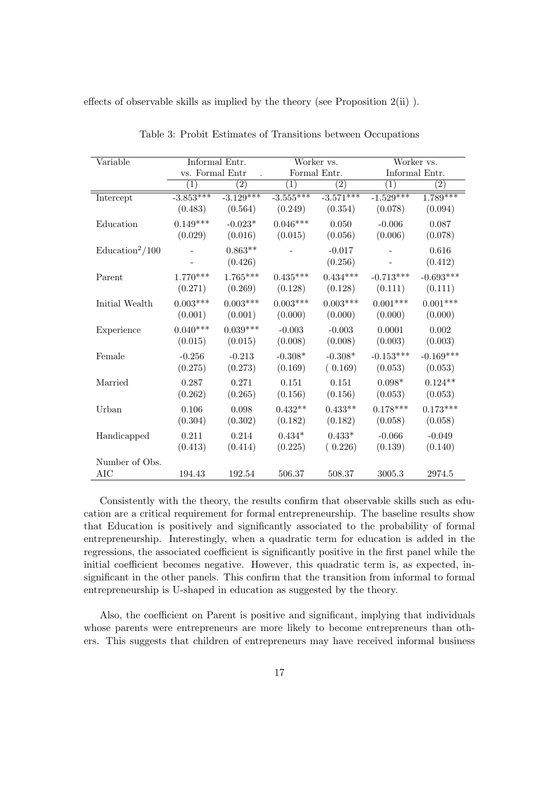effects of observable skills as implied by the theory (see Proposition 2(ii) ).

| Variable                 |                   | Informal Entr.<br>Worker vs. |                   | Worker vs.       |                   |                   |
|--------------------------|-------------------|------------------------------|-------------------|------------------|-------------------|-------------------|
|                          | vs. Formal Entr   |                              | Formal Entr.      |                  | Informal Entr.    |                   |
|                          | $\left( 1\right)$ | $\left( 2\right)$            | $\left( 1\right)$ | $\overline{(2)}$ | $\left( 1\right)$ | $\left( 2\right)$ |
| Intercept                | $-3.853***$       | $-3.129***$                  | $-3.555***$       | $-3.571***$      | $-1.529***$       | $1.789***$        |
|                          | (0.483)           | (0.564)                      | (0.249)           | (0.354)          | (0.078)           | (0.094)           |
| Education                | $0.149***$        | $-0.023*$                    | $0.046***$        | $0.050\,$        | $-0.006$          | 0.087             |
|                          | (0.029)           | (0.016)                      | (0.015)           | (0.056)          | (0.006)           | (0.078)           |
| $\text{Education}^2/100$ |                   | $0.863**$                    |                   | $-0.017$         |                   | $0.616\,$         |
|                          |                   | (0.426)                      |                   | (0.256)          |                   | (0.412)           |
| Parent                   | $1.770***$        | $1.765***$                   | $0.435***$        | $0.434***$       | $-0.713***$       | $-0.693***$       |
|                          | (0.271)           | (0.269)                      | (0.128)           | (0.128)          | (0.111)           | (0.111)           |
| Initial Wealth           | $0.003***$        | $0.003***$                   | $0.003***$        | $0.003***$       | $0.001***$        | $0.001***$        |
|                          | (0.001)           | (0.001)                      | (0.000)           | (0.000)          | (0.000)           | (0.000)           |
| Experience               | $0.040***$        | $0.039***$                   | $-0.003$          | $-0.003$         | 0.0001            | 0.002             |
|                          | (0.015)           | (0.015)                      | (0.008)           | (0.008)          | (0.003)           | (0.003)           |
| Female                   | $-0.256$          | $-0.213$                     | $-0.308*$         | $-0.308*$        | $-0.153***$       | $-0.169***$       |
|                          | (0.275)           | (0.273)                      | (0.169)           | (0.169)          | (0.053)           | (0.053)           |
| Married                  | 0.287             | 0.271                        | 0.151             | 0.151            | $0.098*$          | $0.124**$         |
|                          | (0.262)           | (0.265)                      | (0.156)           | (0.156)          | (0.053)           | (0.053)           |
| Urban                    | $0.106\,$         | 0.098                        | $0.432**$         | $0.433**$        | $0.178***$        | $0.173***$        |
|                          | (0.304)           | (0.302)                      | (0.182)           | (0.182)          | (0.058)           | (0.058)           |
| Handicapped              | 0.211             | 0.214                        | $0.434*$          | $0.433*$         | $-0.066$          | $-0.049$          |
|                          | (0.413)           | (0.414)                      | (0.225)           | (0.226)          | (0.139)           | (0.140)           |
| Number of Obs.           |                   |                              |                   |                  |                   |                   |
| <b>AIC</b>               | 194.43            | 192.54                       | 506.37            | 508.37           | 3005.3            | 2974.5            |

Table 3: Probit Estimates of Transitions between Occupations

Consistently with the theory, the results confirm that observable skills such as education are a critical requirement for formal entrepreneurship. The baseline results show that Education is positively and significantly associated to the probability of formal entrepreneurship. Interestingly, when a quadratic term for education is added in the regressions, the associated coefficient is significantly positive in the first panel while the initial coefficient becomes negative. However, this quadratic term is, as expected, insignificant in the other panels. This confirm that the transition from informal to formal entrepreneurship is U-shaped in education as suggested by the theory.

Also, the coefficient on Parent is positive and significant, implying that individuals whose parents were entrepreneurs are more likely to become entrepreneurs than others. This suggests that children of entrepreneurs may have received informal business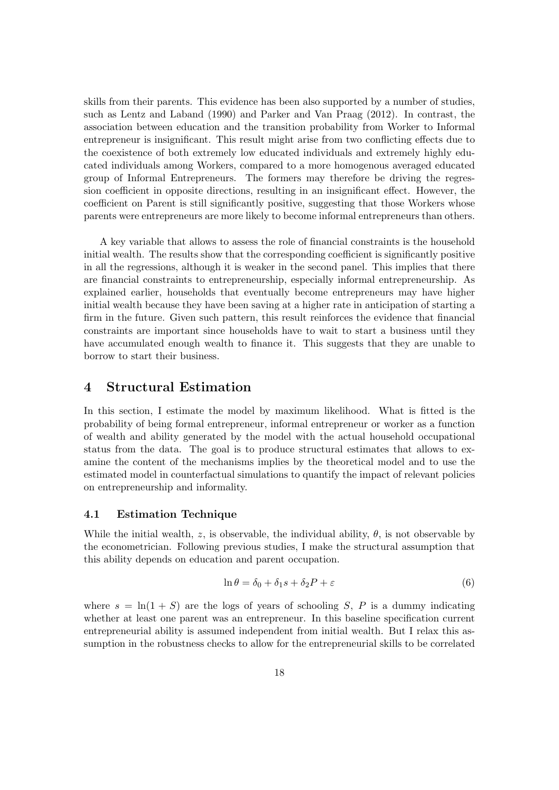skills from their parents. This evidence has been also supported by a number of studies, such as Lentz and Laband (1990) and Parker and Van Praag (2012). In contrast, the association between education and the transition probability from Worker to Informal entrepreneur is insignificant. This result might arise from two conflicting effects due to the coexistence of both extremely low educated individuals and extremely highly educated individuals among Workers, compared to a more homogenous averaged educated group of Informal Entrepreneurs. The formers may therefore be driving the regression coefficient in opposite directions, resulting in an insignificant effect. However, the coefficient on Parent is still significantly positive, suggesting that those Workers whose parents were entrepreneurs are more likely to become informal entrepreneurs than others.

A key variable that allows to assess the role of financial constraints is the household initial wealth. The results show that the corresponding coefficient is significantly positive in all the regressions, although it is weaker in the second panel. This implies that there are financial constraints to entrepreneurship, especially informal entrepreneurship. As explained earlier, households that eventually become entrepreneurs may have higher initial wealth because they have been saving at a higher rate in anticipation of starting a firm in the future. Given such pattern, this result reinforces the evidence that financial constraints are important since households have to wait to start a business until they have accumulated enough wealth to finance it. This suggests that they are unable to borrow to start their business.

# 4 Structural Estimation

In this section, I estimate the model by maximum likelihood. What is fitted is the probability of being formal entrepreneur, informal entrepreneur or worker as a function of wealth and ability generated by the model with the actual household occupational status from the data. The goal is to produce structural estimates that allows to examine the content of the mechanisms implies by the theoretical model and to use the estimated model in counterfactual simulations to quantify the impact of relevant policies on entrepreneurship and informality.

### 4.1 Estimation Technique

While the initial wealth, z, is observable, the individual ability,  $\theta$ , is not observable by the econometrician. Following previous studies, I make the structural assumption that this ability depends on education and parent occupation.

$$
\ln \theta = \delta_0 + \delta_1 s + \delta_2 P + \varepsilon \tag{6}
$$

where  $s = \ln(1+S)$  are the logs of years of schooling S, P is a dummy indicating whether at least one parent was an entrepreneur. In this baseline specification current entrepreneurial ability is assumed independent from initial wealth. But I relax this assumption in the robustness checks to allow for the entrepreneurial skills to be correlated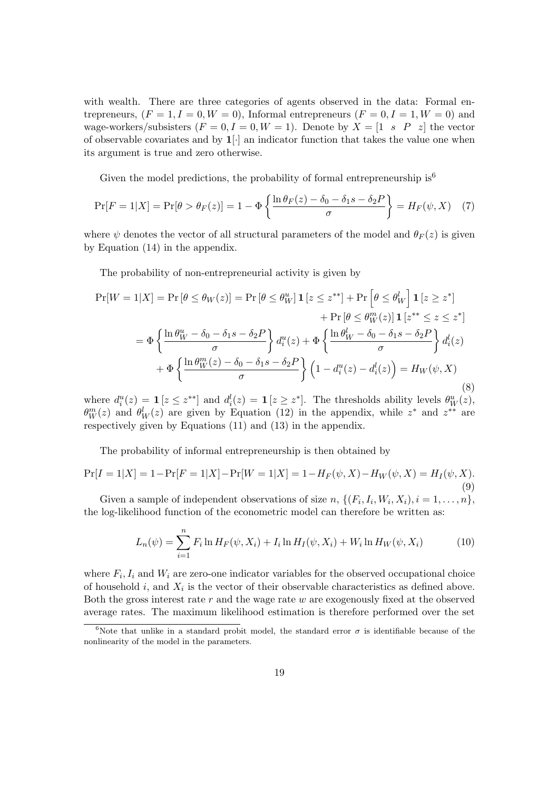with wealth. There are three categories of agents observed in the data: Formal entrepreneurs,  $(F = 1, I = 0, W = 0)$ , Informal entrepreneurs  $(F = 0, I = 1, W = 0)$  and wage-workers/subsisters  $(F = 0, I = 0, W = 1)$ . Denote by  $X = \begin{bmatrix} 1 & s & P & z \end{bmatrix}$  the vector of observable covariates and by  $1$ . an indicator function that takes the value one when its argument is true and zero otherwise.

Given the model predictions, the probability of formal entrepreneurship is<sup>6</sup>

$$
\Pr[F=1|X] = \Pr[\theta > \theta_F(z)] = 1 - \Phi\left\{\frac{\ln \theta_F(z) - \delta_0 - \delta_1 s - \delta_2 P}{\sigma}\right\} = H_F(\psi, X) \quad (7)
$$

where  $\psi$  denotes the vector of all structural parameters of the model and  $\theta_F(z)$  is given by Equation (14) in the appendix.

The probability of non-entrepreneurial activity is given by

$$
\Pr[W = 1|X] = \Pr[\theta \le \theta_W(z)] = \Pr[\theta \le \theta_W^u] \mathbf{1}[z \le z^{**}] + \Pr[\theta \le \theta_W^l] \mathbf{1}[z \ge z^*]
$$

$$
+ \Pr[\theta \le \theta_W^m(z)] \mathbf{1}[z^{**} \le z \le z^*]
$$

$$
= \Phi \left\{ \frac{\ln \theta_W^u - \delta_0 - \delta_1 s - \delta_2 P}{\sigma} \right\} d_i^u(z) + \Phi \left\{ \frac{\ln \theta_W^l - \delta_0 - \delta_1 s - \delta_2 P}{\sigma} \right\} d_i^l(z)
$$

$$
+ \Phi \left\{ \frac{\ln \theta_W^m(z) - \delta_0 - \delta_1 s - \delta_2 P}{\sigma} \right\} \left( 1 - d_i^u(z) - d_i^l(z) \right) = H_W(\psi, X)
$$
\n
$$
\tag{8}
$$

where  $d_i^u(z) = \mathbf{1}\left[z \leq z^{**}\right]$  and  $d_i^l(z) = \mathbf{1}\left[z \geq z^*\right]$ . The thresholds ability levels  $\theta_W^u(z)$ ,  $\theta_W^m(z)$  and  $\theta_W^l(z)$  are given by Equation (12) in the appendix, while  $z^*$  and  $z^{**}$  are respectively given by Equations (11) and (13) in the appendix.

The probability of informal entrepreneurship is then obtained by

$$
\Pr[I=1|X] = 1 - \Pr[F=1|X] - \Pr[W=1|X] = 1 - H_F(\psi, X) - H_W(\psi, X) = H_I(\psi, X). \tag{9}
$$

Given a sample of independent observations of size  $n, \{(F_i, I_i, W_i, X_i), i = 1, \ldots, n\},$ the log-likelihood function of the econometric model can therefore be written as:

$$
L_n(\psi) = \sum_{i=1}^n F_i \ln H_F(\psi, X_i) + I_i \ln H_I(\psi, X_i) + W_i \ln H_W(\psi, X_i)
$$
(10)

where  $F_i, I_i$  and  $W_i$  are zero-one indicator variables for the observed occupational choice of household  $i$ , and  $X_i$  is the vector of their observable characteristics as defined above. Both the gross interest rate  $r$  and the wage rate  $w$  are exogenously fixed at the observed average rates. The maximum likelihood estimation is therefore performed over the set

<sup>&</sup>lt;sup>6</sup>Note that unlike in a standard probit model, the standard error  $\sigma$  is identifiable because of the nonlinearity of the model in the parameters.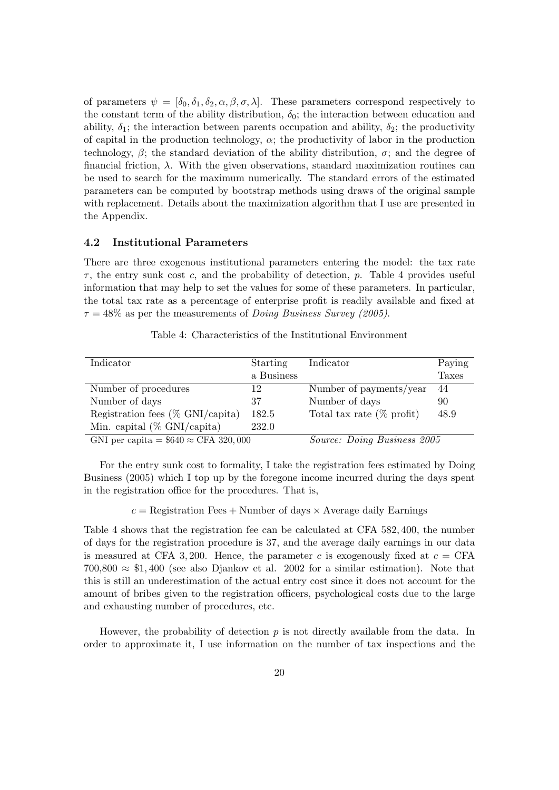of parameters  $\psi = [\delta_0, \delta_1, \delta_2, \alpha, \beta, \sigma, \lambda]$ . These parameters correspond respectively to the constant term of the ability distribution,  $\delta_0$ ; the interaction between education and ability,  $\delta_1$ ; the interaction between parents occupation and ability,  $\delta_2$ ; the productivity of capital in the production technology,  $\alpha$ ; the productivity of labor in the production technology,  $\beta$ ; the standard deviation of the ability distribution,  $\sigma$ ; and the degree of financial friction,  $\lambda$ . With the given observations, standard maximization routines can be used to search for the maximum numerically. The standard errors of the estimated parameters can be computed by bootstrap methods using draws of the original sample with replacement. Details about the maximization algorithm that I use are presented in the Appendix.

# 4.2 Institutional Parameters

There are three exogenous institutional parameters entering the model: the tax rate  $\tau$ , the entry sunk cost c, and the probability of detection, p. Table 4 provides useful information that may help to set the values for some of these parameters. In particular, the total tax rate as a percentage of enterprise profit is readily available and fixed at  $\tau = 48\%$  as per the measurements of *Doing Business Survey (2005)*.

| Indicator                                   | Starting   | Indicator                    | Paying       |  |
|---------------------------------------------|------------|------------------------------|--------------|--|
|                                             | a Business |                              | <b>Taxes</b> |  |
| Number of procedures                        | 12         | Number of payments/year      | 44           |  |
| Number of days                              | 37         | Number of days               | 90           |  |
| Registration fees $(\%$ GNI/capita)         | 182.5      | Total tax rate $(\%$ profit) | 48.9         |  |
| Min. capital $(\%$ GNI/capita)              | 232.0      |                              |              |  |
| GNI per capita = $$640 \approx$ CFA 320,000 |            | Source: Doing Business 2005  |              |  |

For the entry sunk cost to formality, I take the registration fees estimated by Doing Business (2005) which I top up by the foregone income incurred during the days spent in the registration office for the procedures. That is,

 $c =$  Registration Fees + Number of days  $\times$  Average daily Earnings

Table 4 shows that the registration fee can be calculated at CFA 582, 400, the number of days for the registration procedure is 37, and the average daily earnings in our data is measured at CFA 3, 200. Hence, the parameter c is exogenously fixed at  $c = \text{CFA}$  $700,800 \approx $1,400$  (see also Djankov et al. 2002 for a similar estimation). Note that this is still an underestimation of the actual entry cost since it does not account for the amount of bribes given to the registration officers, psychological costs due to the large and exhausting number of procedures, etc.

However, the probability of detection  $p$  is not directly available from the data. In order to approximate it, I use information on the number of tax inspections and the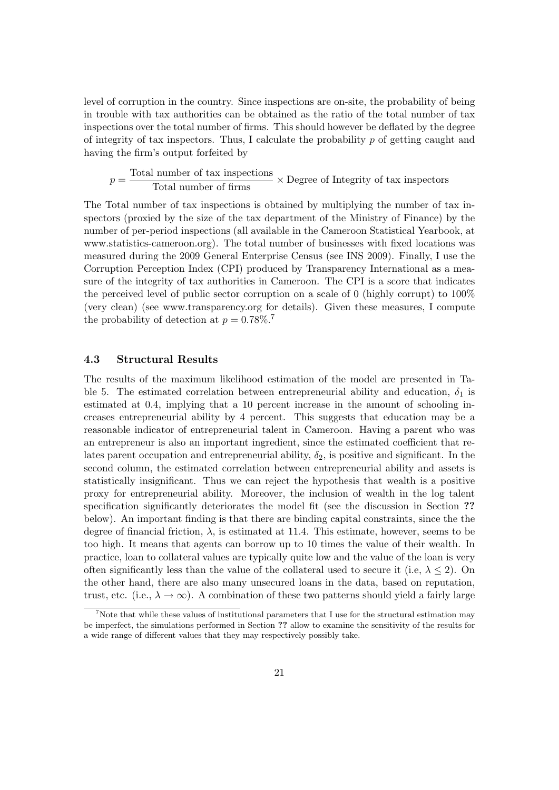level of corruption in the country. Since inspections are on-site, the probability of being in trouble with tax authorities can be obtained as the ratio of the total number of tax inspections over the total number of firms. This should however be deflated by the degree of integrity of tax inspectors. Thus, I calculate the probability  $p$  of getting caught and having the firm's output forfeited by

$$
p = \frac{\text{Total number of tax inspections}}{\text{Total number of firms}} \times \text{Degree of Integrity of tax inspections}
$$

The Total number of tax inspections is obtained by multiplying the number of tax inspectors (proxied by the size of the tax department of the Ministry of Finance) by the number of per-period inspections (all available in the Cameroon Statistical Yearbook, at www.statistics-cameroon.org). The total number of businesses with fixed locations was measured during the 2009 General Enterprise Census (see INS 2009). Finally, I use the Corruption Perception Index (CPI) produced by Transparency International as a measure of the integrity of tax authorities in Cameroon. The CPI is a score that indicates the perceived level of public sector corruption on a scale of 0 (highly corrupt) to 100% (very clean) (see www.transparency.org for details). Given these measures, I compute the probability of detection at  $p = 0.78\%$ .<sup>7</sup>

## 4.3 Structural Results

The results of the maximum likelihood estimation of the model are presented in Table 5. The estimated correlation between entrepreneurial ability and education,  $\delta_1$  is estimated at 0.4, implying that a 10 percent increase in the amount of schooling increases entrepreneurial ability by 4 percent. This suggests that education may be a reasonable indicator of entrepreneurial talent in Cameroon. Having a parent who was an entrepreneur is also an important ingredient, since the estimated coefficient that relates parent occupation and entrepreneurial ability,  $\delta_2$ , is positive and significant. In the second column, the estimated correlation between entrepreneurial ability and assets is statistically insignificant. Thus we can reject the hypothesis that wealth is a positive proxy for entrepreneurial ability. Moreover, the inclusion of wealth in the log talent specification significantly deteriorates the model fit (see the discussion in Section ?? below). An important finding is that there are binding capital constraints, since the the degree of financial friction,  $\lambda$ , is estimated at 11.4. This estimate, however, seems to be too high. It means that agents can borrow up to 10 times the value of their wealth. In practice, loan to collateral values are typically quite low and the value of the loan is very often significantly less than the value of the collateral used to secure it (i.e,  $\lambda \leq 2$ ). On the other hand, there are also many unsecured loans in the data, based on reputation, trust, etc. (i.e.,  $\lambda \to \infty$ ). A combination of these two patterns should yield a fairly large

<sup>7</sup>Note that while these values of institutional parameters that I use for the structural estimation may be imperfect, the simulations performed in Section ?? allow to examine the sensitivity of the results for a wide range of different values that they may respectively possibly take.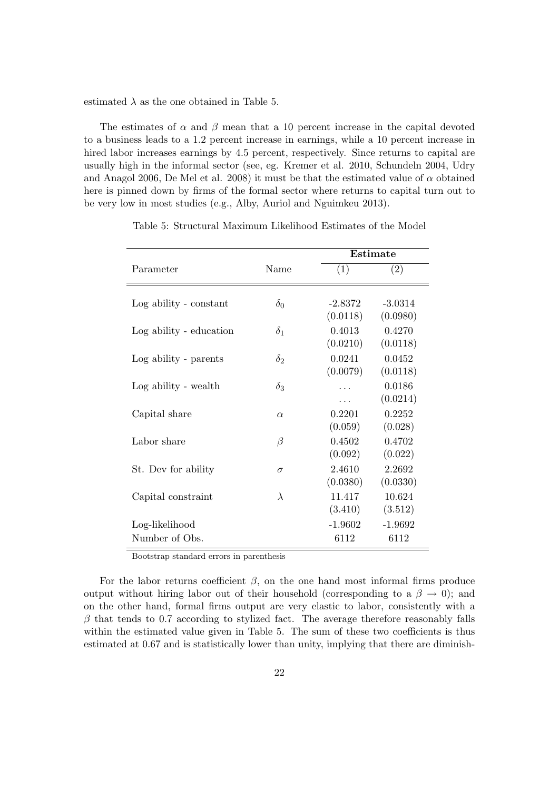estimated  $\lambda$  as the one obtained in Table 5.

The estimates of  $\alpha$  and  $\beta$  mean that a 10 percent increase in the capital devoted to a business leads to a 1.2 percent increase in earnings, while a 10 percent increase in hired labor increases earnings by 4.5 percent, respectively. Since returns to capital are usually high in the informal sector (see, eg. Kremer et al. 2010, Schundeln 2004, Udry and Anagol 2006, De Mel et al. 2008) it must be that the estimated value of  $\alpha$  obtained here is pinned down by firms of the formal sector where returns to capital turn out to be very low in most studies (e.g., Alby, Auriol and Nguimkeu 2013).

|                         |            | Estimate                       |                                |
|-------------------------|------------|--------------------------------|--------------------------------|
| Parameter               | Name       | (1)                            | (2)                            |
| Log ability - constant  | $\delta_0$ | $-2.8372$                      | $-3.0314$                      |
| Log ability - education | $\delta_1$ | (0.0118)<br>0.4013<br>(0.0210) | (0.0980)<br>0.4270<br>(0.0118) |
| Log ability - parents   | $\delta_2$ | 0.0241<br>(0.0079)             | 0.0452<br>(0.0118)             |
| Log ability - wealth    | $\delta_3$ | .                              | 0.0186<br>(0.0214)             |
| Capital share           | $\alpha$   | 0.2201<br>(0.059)              | 0.2252<br>(0.028)              |
| Labor share             | $\beta$    | 0.4502<br>(0.092)              | 0.4702<br>(0.022)              |
| St. Dev for ability     | $\sigma$   | 2.4610<br>(0.0380)             | 2.2692<br>(0.0330)             |
| Capital constraint      | $\lambda$  | 11.417<br>(3.410)              | 10.624<br>(3.512)              |
| Log-likelihood          |            | $-1.9602$                      | $-1.9692$                      |
| Number of Obs.          |            | 6112                           | 6112                           |

Table 5: Structural Maximum Likelihood Estimates of the Model

Bootstrap standard errors in parenthesis

For the labor returns coefficient  $\beta$ , on the one hand most informal firms produce output without hiring labor out of their household (corresponding to a  $\beta \to 0$ ); and on the other hand, formal firms output are very elastic to labor, consistently with a  $\beta$  that tends to 0.7 according to stylized fact. The average therefore reasonably falls within the estimated value given in Table 5. The sum of these two coefficients is thus estimated at 0.67 and is statistically lower than unity, implying that there are diminish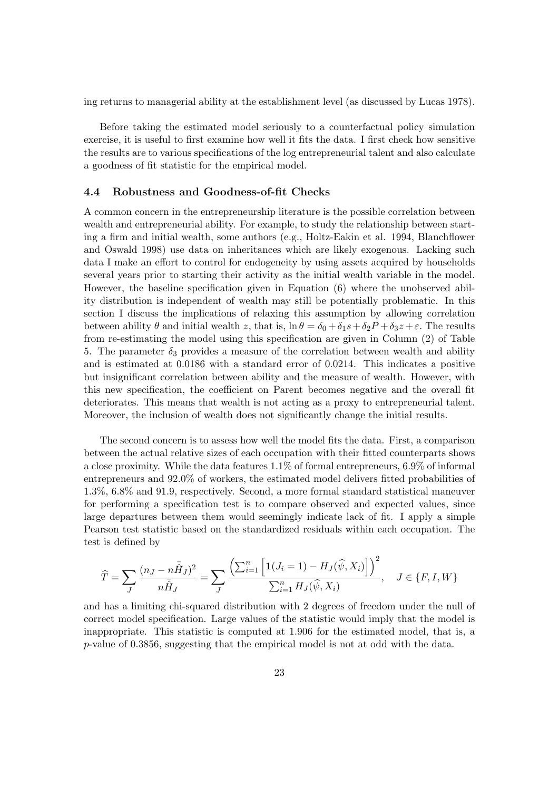ing returns to managerial ability at the establishment level (as discussed by Lucas 1978).

Before taking the estimated model seriously to a counterfactual policy simulation exercise, it is useful to first examine how well it fits the data. I first check how sensitive the results are to various specifications of the log entrepreneurial talent and also calculate a goodness of fit statistic for the empirical model.

## 4.4 Robustness and Goodness-of-fit Checks

A common concern in the entrepreneurship literature is the possible correlation between wealth and entrepreneurial ability. For example, to study the relationship between starting a firm and initial wealth, some authors (e.g., Holtz-Eakin et al. 1994, Blanchflower and Oswald 1998) use data on inheritances which are likely exogenous. Lacking such data I make an effort to control for endogeneity by using assets acquired by households several years prior to starting their activity as the initial wealth variable in the model. However, the baseline specification given in Equation (6) where the unobserved ability distribution is independent of wealth may still be potentially problematic. In this section I discuss the implications of relaxing this assumption by allowing correlation between ability  $\theta$  and initial wealth z, that is,  $\ln \theta = \delta_0 + \delta_1 s + \delta_2 P + \delta_3 z + \varepsilon$ . The results from re-estimating the model using this specification are given in Column (2) of Table 5. The parameter  $\delta_3$  provides a measure of the correlation between wealth and ability and is estimated at 0.0186 with a standard error of 0.0214. This indicates a positive but insignificant correlation between ability and the measure of wealth. However, with this new specification, the coefficient on Parent becomes negative and the overall fit deteriorates. This means that wealth is not acting as a proxy to entrepreneurial talent. Moreover, the inclusion of wealth does not significantly change the initial results.

The second concern is to assess how well the model fits the data. First, a comparison between the actual relative sizes of each occupation with their fitted counterparts shows a close proximity. While the data features 1.1% of formal entrepreneurs, 6.9% of informal entrepreneurs and 92.0% of workers, the estimated model delivers fitted probabilities of 1.3%, 6.8% and 91.9, respectively. Second, a more formal standard statistical maneuver for performing a specification test is to compare observed and expected values, since large departures between them would seemingly indicate lack of fit. I apply a simple Pearson test statistic based on the standardized residuals within each occupation. The test is defined by

$$
\widehat{T} = \sum_{J} \frac{(n_J - n\bar{\hat{H}}_J)^2}{n\bar{\hat{H}}_J} = \sum_{J} \frac{\left(\sum_{i=1}^n \left[ \mathbf{1}(J_i = 1) - H_J(\widehat{\psi}, X_i) \right] \right)^2}{\sum_{i=1}^n H_J(\widehat{\psi}, X_i)}, \quad J \in \{F, I, W\}
$$

and has a limiting chi-squared distribution with 2 degrees of freedom under the null of correct model specification. Large values of the statistic would imply that the model is inappropriate. This statistic is computed at 1.906 for the estimated model, that is, a p-value of 0.3856, suggesting that the empirical model is not at odd with the data.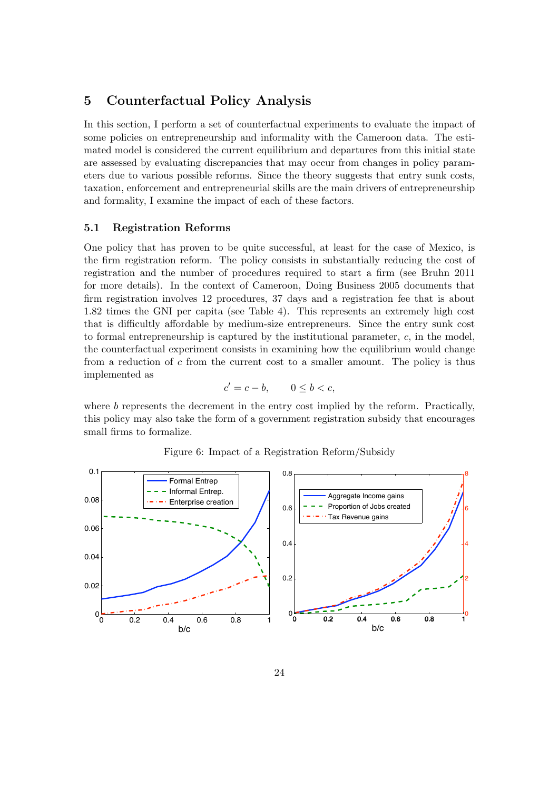# 5 Counterfactual Policy Analysis

In this section, I perform a set of counterfactual experiments to evaluate the impact of some policies on entrepreneurship and informality with the Cameroon data. The estimated model is considered the current equilibrium and departures from this initial state are assessed by evaluating discrepancies that may occur from changes in policy parameters due to various possible reforms. Since the theory suggests that entry sunk costs, taxation, enforcement and entrepreneurial skills are the main drivers of entrepreneurship and formality, I examine the impact of each of these factors.

## 5.1 Registration Reforms

One policy that has proven to be quite successful, at least for the case of Mexico, is the firm registration reform. The policy consists in substantially reducing the cost of registration and the number of procedures required to start a firm (see Bruhn 2011 for more details). In the context of Cameroon, Doing Business 2005 documents that firm registration involves 12 procedures, 37 days and a registration fee that is about 1.82 times the GNI per capita (see Table 4). This represents an extremely high cost that is difficultly affordable by medium-size entrepreneurs. Since the entry sunk cost to formal entrepreneurship is captured by the institutional parameter, c, in the model, the counterfactual experiment consists in examining how the equilibrium would change from a reduction of c from the current cost to a smaller amount. The policy is thus implemented as

$$
c' = c - b, \qquad 0 \le b < c,
$$

where  $b$  represents the decrement in the entry cost implied by the reform. Practically, this policy may also take the form of a government registration subsidy that encourages small firms to formalize.



Figure 6: Impact of a Registration Reform/Subsidy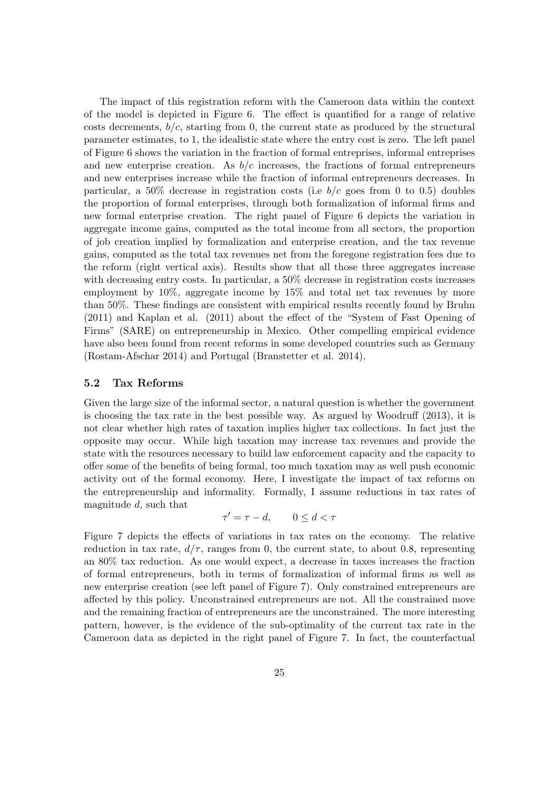The impact of this registration reform with the Cameroon data within the context of the model is depicted in Figure 6. The effect is quantified for a range of relative costs decrements,  $b/c$ , starting from 0, the current state as produced by the structural parameter estimates, to 1, the idealistic state where the entry cost is zero. The left panel of Figure 6 shows the variation in the fraction of formal entreprises, informal entreprises and new enterprise creation. As  $b/c$  increases, the fractions of formal entrepreneurs and new enterprises increase while the fraction of informal entrepreneurs decreases. In particular, a 50% decrease in registration costs (i.e  $b/c$  goes from 0 to 0.5) doubles the proportion of formal enterprises, through both formalization of informal firms and new formal enterprise creation. The right panel of Figure 6 depicts the variation in aggregate income gains, computed as the total income from all sectors, the proportion of job creation implied by formalization and enterprise creation, and the tax revenue gains, computed as the total tax revenues net from the foregone registration fees due to the reform (right vertical axis). Results show that all those three aggregates increase with decreasing entry costs. In particular, a 50% decrease in registration costs increases employment by 10%, aggregate income by 15% and total net tax revenues by more than 50%. These findings are consistent with empirical results recently found by Bruhn (2011) and Kaplan et al. (2011) about the effect of the "System of Fast Opening of Firms" (SARE) on entrepreneurship in Mexico. Other compelling empirical evidence have also been found from recent reforms in some developed countries such as Germany (Rostam-Afschar 2014) and Portugal (Branstetter et al. 2014).

## 5.2 Tax Reforms

Given the large size of the informal sector, a natural question is whether the government is choosing the tax rate in the best possible way. As argued by Woodruff (2013), it is not clear whether high rates of taxation implies higher tax collections. In fact just the opposite may occur. While high taxation may increase tax revenues and provide the state with the resources necessary to build law enforcement capacity and the capacity to offer some of the benefits of being formal, too much taxation may as well push economic activity out of the formal economy. Here, I investigate the impact of tax reforms on the entrepreneurship and informality. Formally, I assume reductions in tax rates of magnitude d, such that

$$
\tau' = \tau - d, \qquad 0 \le d < \tau
$$

Figure 7 depicts the effects of variations in tax rates on the economy. The relative reduction in tax rate,  $d/\tau$ , ranges from 0, the current state, to about 0.8, representing an 80% tax reduction. As one would expect, a decrease in taxes increases the fraction of formal entrepreneurs, both in terms of formalization of informal firms as well as new enterprise creation (see left panel of Figure 7). Only constrained entrepreneurs are affected by this policy. Unconstrained entrepreneurs are not. All the constrained move and the remaining fraction of entrepreneurs are the unconstrained. The more interesting pattern, however, is the evidence of the sub-optimality of the current tax rate in the Cameroon data as depicted in the right panel of Figure 7. In fact, the counterfactual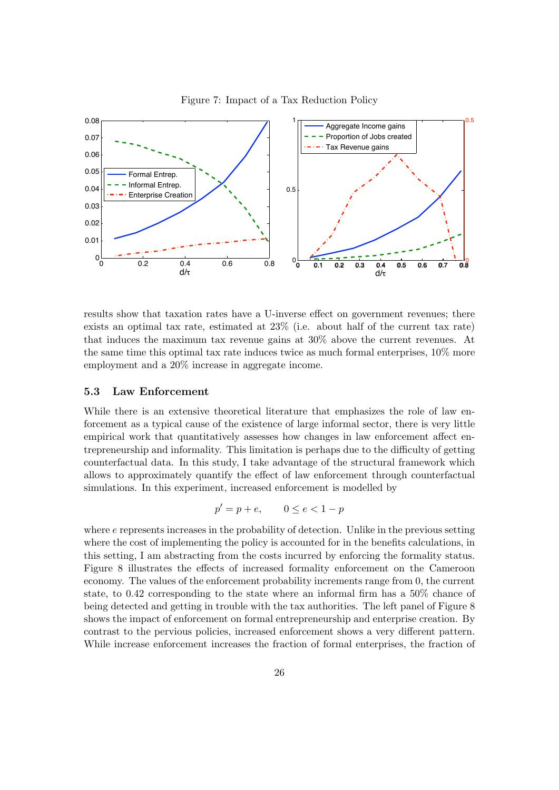

Figure 7: Impact of a Tax Reduction Policy

results show that taxation rates have a U-inverse effect on government revenues; there exists an optimal tax rate, estimated at 23% (i.e. about half of the current tax rate) that induces the maximum tax revenue gains at 30% above the current revenues. At the same time this optimal tax rate induces twice as much formal enterprises, 10% more employment and a 20% increase in aggregate income.

## 5.3 Law Enforcement

empirical work that quantitatively assesses how changes in law enforcement affect enforcement as a typical cause of the existence of large informal sector, there is very little While there is an extensive theoretical literature that emphasizes the role of law entrepreneurship and informality. This limitation is perhaps due to the difficulty of getting counterfactual data. In this study, I take advantage of the structural framework which allows to approximately quantify the effect of law enforcement through counterfactual simulations. In this experiment, increased enforcement is modelled by

$$
p' = p + e, \qquad 0 \le e < 1 - p
$$

where  $e$  represents increases in the probability of detection. Unlike in the previous setting where the cost of implementing the policy is accounted for in the benefits calculations, in this setting, I am abstracting from the costs incurred by enforcing the formality status. Figure 8 illustrates the effects of increased formality enforcement on the Cameroon economy. The values of the enforcement probability increments range from 0, the current state, to 0.42 corresponding to the state where an informal firm has a 50% chance of being detected and getting in trouble with the tax authorities. The left panel of Figure 8 shows the impact of enforcement on formal entrepreneurship and enterprise creation. By contrast to the pervious policies, increased enforcement shows a very different pattern. While increase enforcement increases the fraction of formal enterprises, the fraction of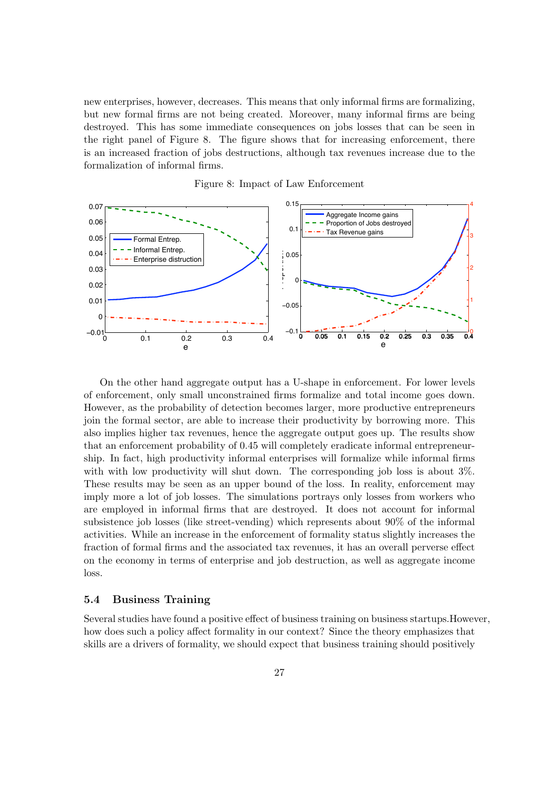new enterprises, however, decreases. This means that only informal firms are formalizing, but new formal firms are not being created. Moreover, many informal firms are being destroyed. This has some immediate consequences on jobs losses that can be seen in the right panel of Figure 8. The figure shows that for increasing enforcement, there is an increased fraction of jobs destructions, although tax revenues increase due to the formalization of informal firms.



Figure 8: Impact of Law Enforcement

imply more a lot of job losses. The simulations portrays only losses from workers who On the other hand aggregate output has a U-shape in enforcement. For lower levels of enforcement, only small unconstrained firms formalize and total income goes down. However, as the probability of detection becomes larger, more productive entrepreneurs join the formal sector, are able to increase their productivity by borrowing more. This also implies higher tax revenues, hence the aggregate output goes up. The results show that an enforcement probability of 0.45 will completely eradicate informal entrepreneurship. In fact, high productivity informal enterprises will formalize while informal firms with with low productivity will shut down. The corresponding job loss is about  $3\%$ . These results may be seen as an upper bound of the loss. In reality, enforcement may are employed in informal firms that are destroyed. It does not account for informal subsistence job losses (like street-vending) which represents about 90% of the informal activities. While an increase in the enforcement of formality status slightly increases the fraction of formal firms and the associated tax revenues, it has an overall perverse effect on the economy in terms of enterprise and job destruction, as well as aggregate income loss.

## 5.4 Business Training

Several studies have found a positive effect of business training on business startups.However, how does such a policy affect formality in our context? Since the theory emphasizes that skills are a drivers of formality, we should expect that business training should positively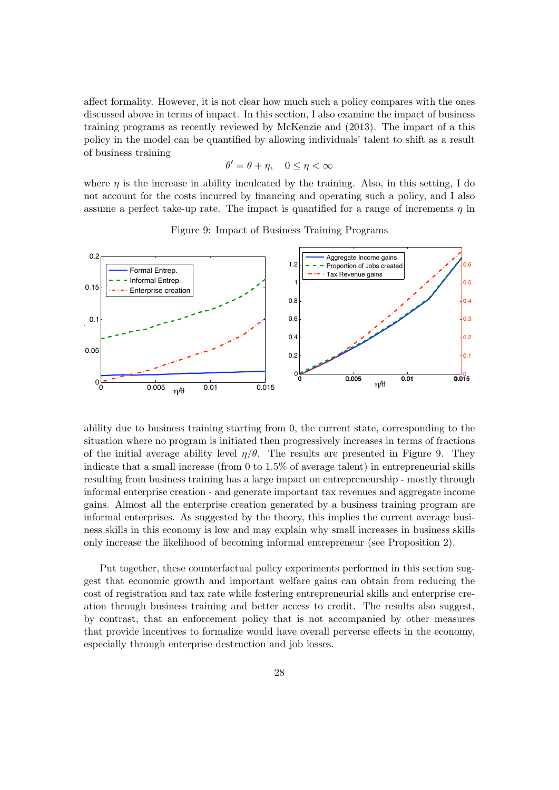affect formality. However, it is not clear how much such a policy compares with the ones discussed above in terms of impact. In this section, I also examine the impact of business training programs as recently reviewed by McKenzie and (2013). The impact of a this policy in the model can be quantified by allowing individuals' talent to shift as a result of business training

$$
\theta' = \theta + \eta, \quad 0 \le \eta < \infty
$$

where  $\eta$  is the increase in ability inculcated by the training. Also, in this setting, I do not account for the costs incurred by financing and operating such a policy, and I also assume a perfect take-up rate. The impact is quantified for a range of increments  $\eta$  in



Figure 9: Impact of Business Training Programs

only increase the likelihood of becoming informal entrepreneur (see Proposition 2). ness skills in this economy is low and may explain why small increases in business skills ability due to business training starting from 0, the current state, corresponding to the situation where no program is initiated then progressively increases in terms of fractions of the initial average ability level  $\eta/\theta$ . The results are presented in Figure 9. They indicate that a small increase (from 0 to 1.5% of average talent) in entrepreneurial skills resulting from business training has a large impact on entrepreneurship - mostly through informal enterprise creation - and generate important tax revenues and aggregate income gains. Almost all the enterprise creation generated by a business training program are informal enterprises. As suggested by the theory, this implies the current average busi-

Put together, these counterfactual policy experiments performed in this section suggest that economic growth and important welfare gains can obtain from reducing the cost of registration and tax rate while fostering entrepreneurial skills and enterprise creation through business training and better access to credit. The results also suggest, by contrast, that an enforcement policy that is not accompanied by other measures that provide incentives to formalize would have overall perverse effects in the economy, especially through enterprise destruction and job losses.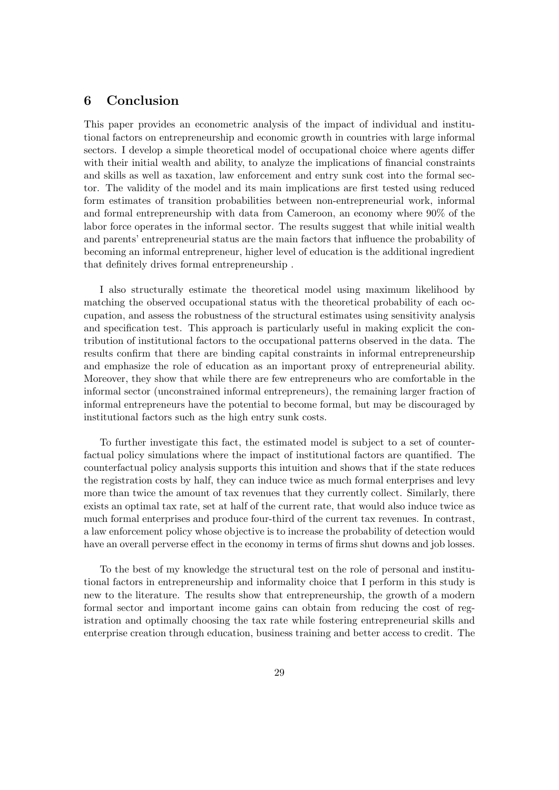# 6 Conclusion

This paper provides an econometric analysis of the impact of individual and institutional factors on entrepreneurship and economic growth in countries with large informal sectors. I develop a simple theoretical model of occupational choice where agents differ with their initial wealth and ability, to analyze the implications of financial constraints and skills as well as taxation, law enforcement and entry sunk cost into the formal sector. The validity of the model and its main implications are first tested using reduced form estimates of transition probabilities between non-entrepreneurial work, informal and formal entrepreneurship with data from Cameroon, an economy where 90% of the labor force operates in the informal sector. The results suggest that while initial wealth and parents' entrepreneurial status are the main factors that influence the probability of becoming an informal entrepreneur, higher level of education is the additional ingredient that definitely drives formal entrepreneurship .

I also structurally estimate the theoretical model using maximum likelihood by matching the observed occupational status with the theoretical probability of each occupation, and assess the robustness of the structural estimates using sensitivity analysis and specification test. This approach is particularly useful in making explicit the contribution of institutional factors to the occupational patterns observed in the data. The results confirm that there are binding capital constraints in informal entrepreneurship and emphasize the role of education as an important proxy of entrepreneurial ability. Moreover, they show that while there are few entrepreneurs who are comfortable in the informal sector (unconstrained informal entrepreneurs), the remaining larger fraction of informal entrepreneurs have the potential to become formal, but may be discouraged by institutional factors such as the high entry sunk costs.

To further investigate this fact, the estimated model is subject to a set of counterfactual policy simulations where the impact of institutional factors are quantified. The counterfactual policy analysis supports this intuition and shows that if the state reduces the registration costs by half, they can induce twice as much formal enterprises and levy more than twice the amount of tax revenues that they currently collect. Similarly, there exists an optimal tax rate, set at half of the current rate, that would also induce twice as much formal enterprises and produce four-third of the current tax revenues. In contrast, a law enforcement policy whose objective is to increase the probability of detection would have an overall perverse effect in the economy in terms of firms shut downs and job losses.

To the best of my knowledge the structural test on the role of personal and institutional factors in entrepreneurship and informality choice that I perform in this study is new to the literature. The results show that entrepreneurship, the growth of a modern formal sector and important income gains can obtain from reducing the cost of registration and optimally choosing the tax rate while fostering entrepreneurial skills and enterprise creation through education, business training and better access to credit. The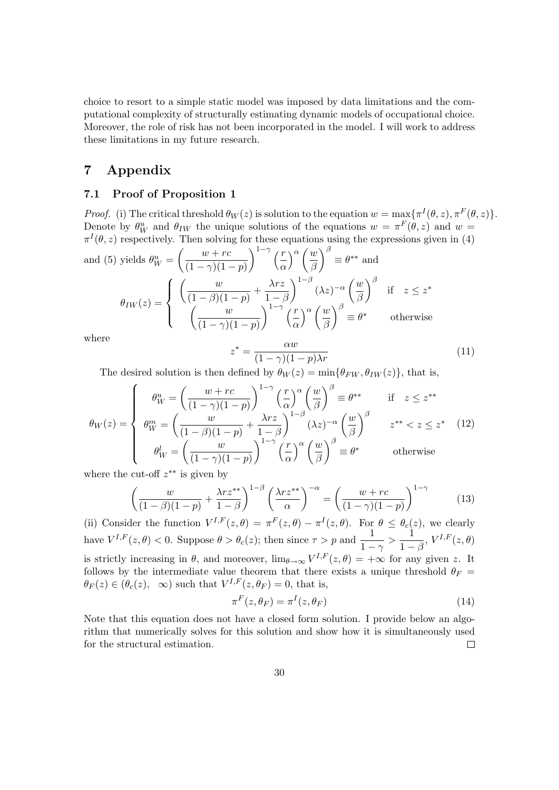choice to resort to a simple static model was imposed by data limitations and the computational complexity of structurally estimating dynamic models of occupational choice. Moreover, the role of risk has not been incorporated in the model. I will work to address these limitations in my future research.

# 7 Appendix

## 7.1 Proof of Proposition 1

*Proof.* (i) The critical threshold  $\theta_W(z)$  is solution to the equation  $w = \max{\lbrace \pi^I(\theta, z), \pi^F(\theta, z) \rbrace}$ . Denote by  $\theta_W^u$  and  $\theta_{IW}$  the unique solutions of the equations  $w = \pi^F(\theta, z)$  and  $w =$  $\pi^I(\theta, z)$  respectively. Then solving for these equations using the expressions given in (4) and (5) yields  $\theta_W^u = \left(\frac{w+rc}{(1-\alpha)(1-\alpha)}\right)$  $(1 - \gamma)(1 - p)$  $\int^{1-\gamma}$   $\left( \frac{r}{\epsilon} \right)$ α  $\big\}^{\alpha} \big/ \underline{w}$ β  $\bigg\}^{\beta} \equiv \theta^{**}$  and  $\sqrt{ }$  $\sqrt{ }$  $\omega$  $\lambda rz$  $\setminus^{1-\beta}$  $\sqrt{ }$  $\omega$  $\setminus^{\beta}$ 

$$
\theta_{IW}(z) = \begin{cases}\n\left(\frac{w}{(1-\beta)(1-p)} + \frac{\lambda^2 z}{1-\beta}\right) & (\lambda z)^{-\alpha} \left(\frac{w}{\beta}\right) & \text{if } z \leq z^* \\
\left(\frac{w}{(1-\gamma)(1-p)}\right)^{1-\gamma} \left(\frac{r}{\alpha}\right)^{\alpha} \left(\frac{w}{\beta}\right)^{\beta} \equiv \theta^* & \text{otherwise}\n\end{cases}
$$

where

$$
z^* = \frac{\alpha w}{(1 - \gamma)(1 - p)\lambda r}
$$
\n(11)

The desired solution is then defined by  $\theta_W(z) = \min{\{\theta_{FW}, \theta_{IW}(z)\}}$ , that is,

$$
\theta_W(z) = \begin{cases}\n\theta_W^u = \left(\frac{w+rc}{(1-\gamma)(1-p)}\right)^{1-\gamma} \left(\frac{r}{\alpha}\right)^\alpha \left(\frac{w}{\beta}\right)^\beta \equiv \theta^{**} & \text{if } z \leq z^{**} \\
\theta_W^m = \left(\frac{w}{(1-\beta)(1-p)} + \frac{\lambda rz}{1-\beta}\right)^{1-\beta} (\lambda z)^{-\alpha} \left(\frac{w}{\beta}\right)^\beta & z^{**} < z \leq z^* \\
\theta_W^l = \left(\frac{w}{(1-\gamma)(1-p)}\right)^{1-\gamma} \left(\frac{r}{\alpha}\right)^\alpha \left(\frac{w}{\beta}\right)^\beta \equiv \theta^* & \text{otherwise}\n\end{cases}
$$
\nwhere the cut of  $x^{**}$  is given by

where the cut-off  $z^{**}$  is given by

$$
\left(\frac{w}{(1-\beta)(1-p)} + \frac{\lambda rz^{**}}{1-\beta}\right)^{1-\beta} \left(\frac{\lambda rz^{**}}{\alpha}\right)^{-\alpha} = \left(\frac{w+rc}{(1-\gamma)(1-p)}\right)^{1-\gamma} \tag{13}
$$

(ii) Consider the function  $V^{I,F}(z,\theta) = \pi^F(z,\theta) - \pi^I(z,\theta)$ . For  $\theta \leq \theta_c(z)$ , we clearly have  $V^{I,F}(z,\theta) < 0$ . Suppose  $\theta > \theta_c(z)$ ; then since  $\tau > p$  and  $\frac{1}{1-\gamma} > \frac{1}{1-\frac{1}{\gamma}}$  $\frac{1}{1-\beta}, V^{I,F}(z,\theta)$ is strictly increasing in  $\theta$ , and moreover,  $\lim_{\theta \to \infty} V^{I,F}(z,\theta) = +\infty$  for any given z. It follows by the intermediate value theorem that there exists a unique threshold  $\theta_F$  =  $\theta_F(z) \in (\theta_c(z), \infty)$  such that  $V^{I,F}(z, \theta_F) = 0$ , that is,

$$
\pi^F(z, \theta_F) = \pi^I(z, \theta_F) \tag{14}
$$

Note that this equation does not have a closed form solution. I provide below an algorithm that numerically solves for this solution and show how it is simultaneously used for the structural estimation.  $\Box$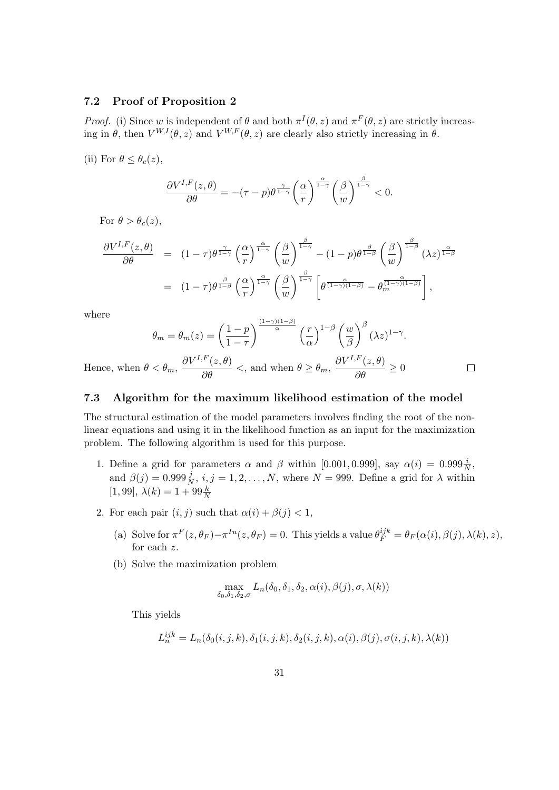# 7.2 Proof of Proposition 2

*Proof.* (i) Since w is independent of  $\theta$  and both  $\pi^{I}(\theta, z)$  and  $\pi^{F}(\theta, z)$  are strictly increasing in  $\theta$ , then  $V^{W,I}(\theta, z)$  and  $V^{W,F}(\theta, z)$  are clearly also strictly increasing in  $\theta$ .

(ii) For  $\theta \leq \theta_c(z)$ ,

$$
\frac{\partial V^{I,F}(z,\theta)}{\partial \theta} = -(\tau - p)\theta^{\frac{\gamma}{1-\gamma}} \left(\frac{\alpha}{r}\right)^{\frac{\alpha}{1-\gamma}} \left(\frac{\beta}{w}\right)^{\frac{\beta}{1-\gamma}} < 0.
$$

For  $\theta > \theta_c(z)$ ,

$$
\frac{\partial V^{I,F}(z,\theta)}{\partial \theta} = (1-\tau)\theta^{\frac{\gamma}{1-\gamma}} \left(\frac{\alpha}{r}\right)^{\frac{\alpha}{1-\gamma}} \left(\frac{\beta}{w}\right)^{\frac{\beta}{1-\gamma}} - (1-p)\theta^{\frac{\beta}{1-\beta}} \left(\frac{\beta}{w}\right)^{\frac{\beta}{1-\beta}} (\lambda z)^{\frac{\alpha}{1-\beta}}
$$

$$
= (1-\tau)\theta^{\frac{\beta}{1-\beta}} \left(\frac{\alpha}{r}\right)^{\frac{\alpha}{1-\gamma}} \left(\frac{\beta}{w}\right)^{\frac{\beta}{1-\gamma}} \left[\theta^{\frac{\alpha}{(1-\gamma)(1-\beta)}} - \theta^{\frac{\alpha}{(1-\gamma)(1-\beta)}}_{m}\right],
$$

where

$$
\theta_m = \theta_m(z) = \left(\frac{1-p}{1-\tau}\right)^{\frac{(1-\gamma)(1-\beta)}{\alpha}} \left(\frac{r}{\alpha}\right)^{1-\beta} \left(\frac{w}{\beta}\right)^{\beta} (\lambda z)^{1-\gamma}.
$$

$$
\frac{\partial V^{I,F}(z,\theta)}{\partial \lambda} \qquad \frac{\partial V^{I,F}(z,\theta)}{\partial \lambda}
$$

 $\Box$ 

Hence, when  $\theta < \theta_m$ ,  $\partial V^{I,F}(z,\theta)$  $\frac{\partial}{\partial \theta}$  <, and when  $\theta \ge \theta_m$ ,  $\partial V^{I,F}(z,\theta)$  $\frac{\partial}{\partial \theta}$  ≥ 0

# 7.3 Algorithm for the maximum likelihood estimation of the model

The structural estimation of the model parameters involves finding the root of the nonlinear equations and using it in the likelihood function as an input for the maximization problem. The following algorithm is used for this purpose.

- 1. Define a grid for parameters  $\alpha$  and  $\beta$  within [0.001, 0.999], say  $\alpha(i) = 0.999 \frac{i}{N}$ , and  $\beta(j) = 0.999 \frac{j}{N}, i, j = 1, 2, ..., N$ , where  $N = 999$ . Define a grid for  $\lambda$  within [1, 99],  $\lambda(k) = 1 + 99 \frac{k}{N}$
- 2. For each pair  $(i, j)$  such that  $\alpha(i) + \beta(j) < 1$ ,
	- (a) Solve for  $\pi^F(z, \theta_F) \pi^{Iu}(z, \theta_F) = 0$ . This yields a value  $\theta_F^{ijk} = \theta_F(\alpha(i), \beta(j), \lambda(k), z)$ , for each z.
	- (b) Solve the maximization problem

$$
\max_{\delta_0, \delta_1, \delta_2, \sigma} L_n(\delta_0, \delta_1, \delta_2, \alpha(i), \beta(j), \sigma, \lambda(k))
$$

This yields

$$
L_n^{ijk} = L_n(\delta_0(i,j,k), \delta_1(i,j,k), \delta_2(i,j,k), \alpha(i), \beta(j), \sigma(i,j,k), \lambda(k))
$$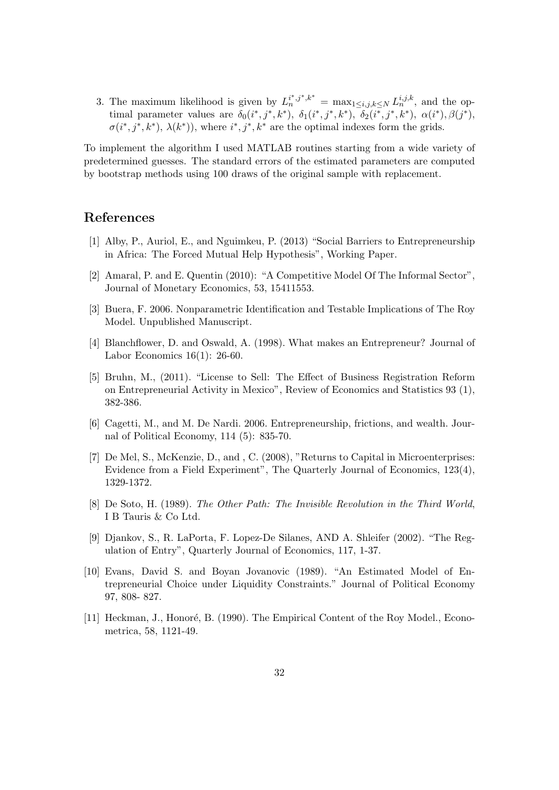3. The maximum likelihood is given by  $L_n^{i^*,j^*,k^*} = \max_{1 \le i,j,k \le N} L_n^{i,j,k},$  and the optimal parameter values are  $\delta_0(i^*, j^*, k^*)$ ,  $\delta_1(i^*, j^*, k^*)$ ,  $\delta_2(i^*, j^*, k^*)$ ,  $\alpha(i^*, \beta(j^*),$  $\sigma(i^*, j^*, k^*)$ ,  $\lambda(k^*)$ ), where  $i^*, j^*, k^*$  are the optimal indexes form the grids.

To implement the algorithm I used MATLAB routines starting from a wide variety of predetermined guesses. The standard errors of the estimated parameters are computed by bootstrap methods using 100 draws of the original sample with replacement.

# References

- [1] Alby, P., Auriol, E., and Nguimkeu, P. (2013) "Social Barriers to Entrepreneurship in Africa: The Forced Mutual Help Hypothesis", Working Paper.
- [2] Amaral, P. and E. Quentin (2010): "A Competitive Model Of The Informal Sector", Journal of Monetary Economics, 53, 15411553.
- [3] Buera, F. 2006. Nonparametric Identification and Testable Implications of The Roy Model. Unpublished Manuscript.
- [4] Blanchflower, D. and Oswald, A. (1998). What makes an Entrepreneur? Journal of Labor Economics 16(1): 26-60.
- [5] Bruhn, M., (2011). "License to Sell: The Effect of Business Registration Reform on Entrepreneurial Activity in Mexico", Review of Economics and Statistics 93 (1), 382-386.
- [6] Cagetti, M., and M. De Nardi. 2006. Entrepreneurship, frictions, and wealth. Journal of Political Economy, 114 (5): 835-70.
- [7] De Mel, S., McKenzie, D., and , C. (2008), "Returns to Capital in Microenterprises: Evidence from a Field Experiment", The Quarterly Journal of Economics, 123(4), 1329-1372.
- [8] De Soto, H. (1989). The Other Path: The Invisible Revolution in the Third World, I B Tauris & Co Ltd.
- [9] Djankov, S., R. LaPorta, F. Lopez-De Silanes, AND A. Shleifer (2002). "The Regulation of Entry", Quarterly Journal of Economics, 117, 1-37.
- [10] Evans, David S. and Boyan Jovanovic (1989). "An Estimated Model of Entrepreneurial Choice under Liquidity Constraints." Journal of Political Economy 97, 808- 827.
- [11] Heckman, J., Honoré, B. (1990). The Empirical Content of the Roy Model., Econometrica, 58, 1121-49.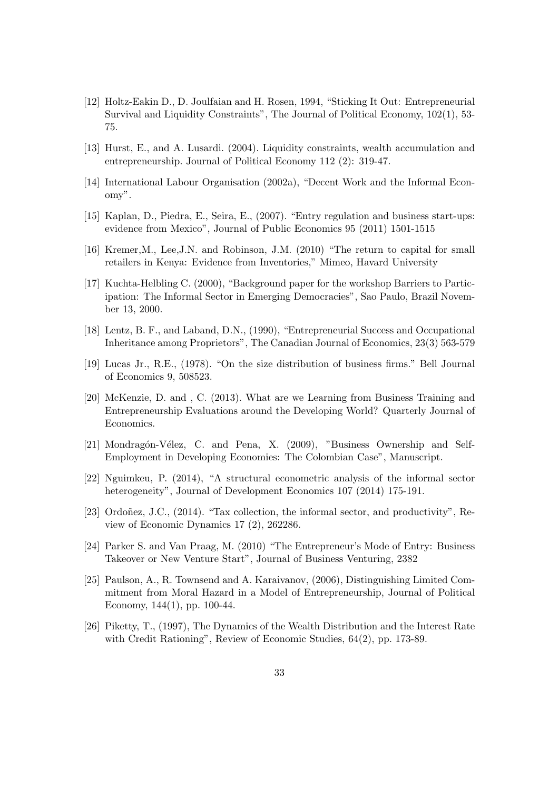- [12] Holtz-Eakin D., D. Joulfaian and H. Rosen, 1994, "Sticking It Out: Entrepreneurial Survival and Liquidity Constraints", The Journal of Political Economy, 102(1), 53- 75.
- [13] Hurst, E., and A. Lusardi. (2004). Liquidity constraints, wealth accumulation and entrepreneurship. Journal of Political Economy 112 (2): 319-47.
- [14] International Labour Organisation (2002a), "Decent Work and the Informal Economy".
- [15] Kaplan, D., Piedra, E., Seira, E., (2007). "Entry regulation and business start-ups: evidence from Mexico", Journal of Public Economics 95 (2011) 1501-1515
- [16] Kremer,M., Lee,J.N. and Robinson, J.M. (2010) "The return to capital for small retailers in Kenya: Evidence from Inventories," Mimeo, Havard University
- [17] Kuchta-Helbling C. (2000), "Background paper for the workshop Barriers to Participation: The Informal Sector in Emerging Democracies", Sao Paulo, Brazil November 13, 2000.
- [18] Lentz, B. F., and Laband, D.N., (1990), "Entrepreneurial Success and Occupational Inheritance among Proprietors", The Canadian Journal of Economics, 23(3) 563-579
- [19] Lucas Jr., R.E., (1978). "On the size distribution of business firms." Bell Journal of Economics 9, 508523.
- [20] McKenzie, D. and , C. (2013). What are we Learning from Business Training and Entrepreneurship Evaluations around the Developing World? Quarterly Journal of Economics.
- [21] Mondragón-Vélez, C. and Pena, X. (2009), "Business Ownership and Self-Employment in Developing Economies: The Colombian Case", Manuscript.
- [22] Nguimkeu, P. (2014), "A structural econometric analysis of the informal sector heterogeneity", Journal of Development Economics 107 (2014) 175-191.
- [23] Ordoñez, J.C., (2014). "Tax collection, the informal sector, and productivity", Review of Economic Dynamics 17 (2), 262286.
- [24] Parker S. and Van Praag, M. (2010) "The Entrepreneur's Mode of Entry: Business Takeover or New Venture Start", Journal of Business Venturing, 2382
- [25] Paulson, A., R. Townsend and A. Karaivanov, (2006), Distinguishing Limited Commitment from Moral Hazard in a Model of Entrepreneurship, Journal of Political Economy, 144(1), pp. 100-44.
- [26] Piketty, T., (1997), The Dynamics of the Wealth Distribution and the Interest Rate with Credit Rationing", Review of Economic Studies, 64(2), pp. 173-89.